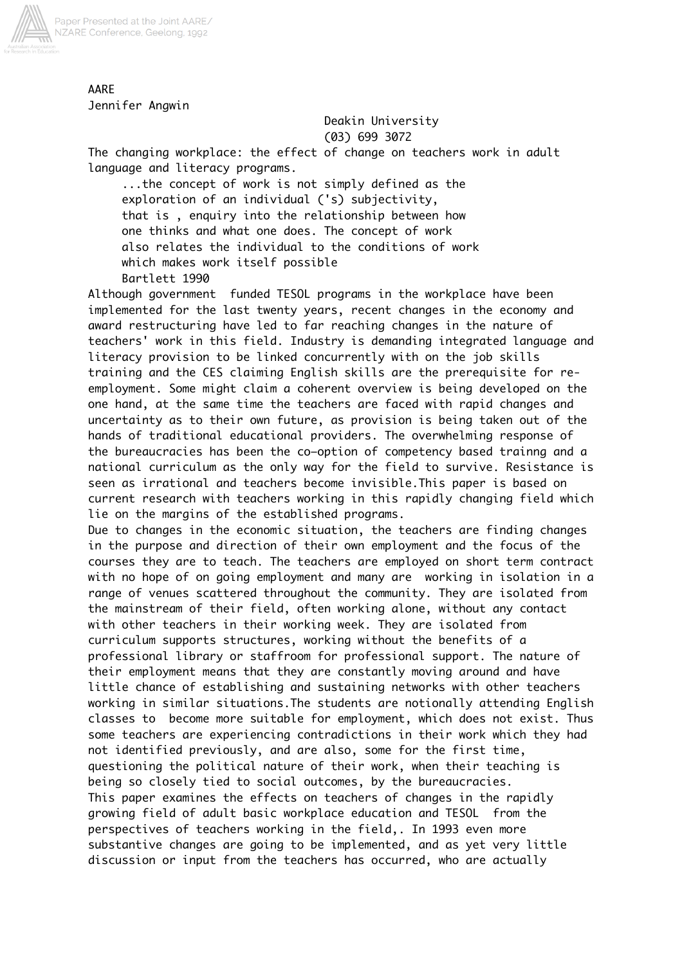

AARE Jennifer Angwin

Deakin University

(03) 699 3072

The changing workplace: the effect of change on teachers work in adult language and literacy programs.

 ...the concept of work is not simply defined as the exploration of an individual ('s) subjectivity, that is , enquiry into the relationship between how one thinks and what one does. The concept of work also relates the individual to the conditions of work which makes work itself possible Bartlett 1990

Although government funded TESOL programs in the workplace have been implemented for the last twenty years, recent changes in the economy and award restructuring have led to far reaching changes in the nature of teachers' work in this field. Industry is demanding integrated language and literacy provision to be linked concurrently with on the job skills training and the CES claiming English skills are the prerequisite for reemployment. Some might claim a coherent overview is being developed on the one hand, at the same time the teachers are faced with rapid changes and uncertainty as to their own future, as provision is being taken out of the hands of traditional educational providers. The overwhelming response of the bureaucracies has been the co–option of competency based trainng and a national curriculum as the only way for the field to survive. Resistance is seen as irrational and teachers become invisible.This paper is based on current research with teachers working in this rapidly changing field which lie on the margins of the established programs.

Due to changes in the economic situation, the teachers are finding changes in the purpose and direction of their own employment and the focus of the courses they are to teach. The teachers are employed on short term contract with no hope of on going employment and many are working in isolation in a range of venues scattered throughout the community. They are isolated from the mainstream of their field, often working alone, without any contact with other teachers in their working week. They are isolated from curriculum supports structures, working without the benefits of a professional library or staffroom for professional support. The nature of their employment means that they are constantly moving around and have little chance of establishing and sustaining networks with other teachers working in similar situations.The students are notionally attending English classes to become more suitable for employment, which does not exist. Thus some teachers are experiencing contradictions in their work which they had not identified previously, and are also, some for the first time, questioning the political nature of their work, when their teaching is being so closely tied to social outcomes, by the bureaucracies. This paper examines the effects on teachers of changes in the rapidly growing field of adult basic workplace education and TESOL from the perspectives of teachers working in the field,. In 1993 even more substantive changes are going to be implemented, and as yet very little discussion or input from the teachers has occurred, who are actually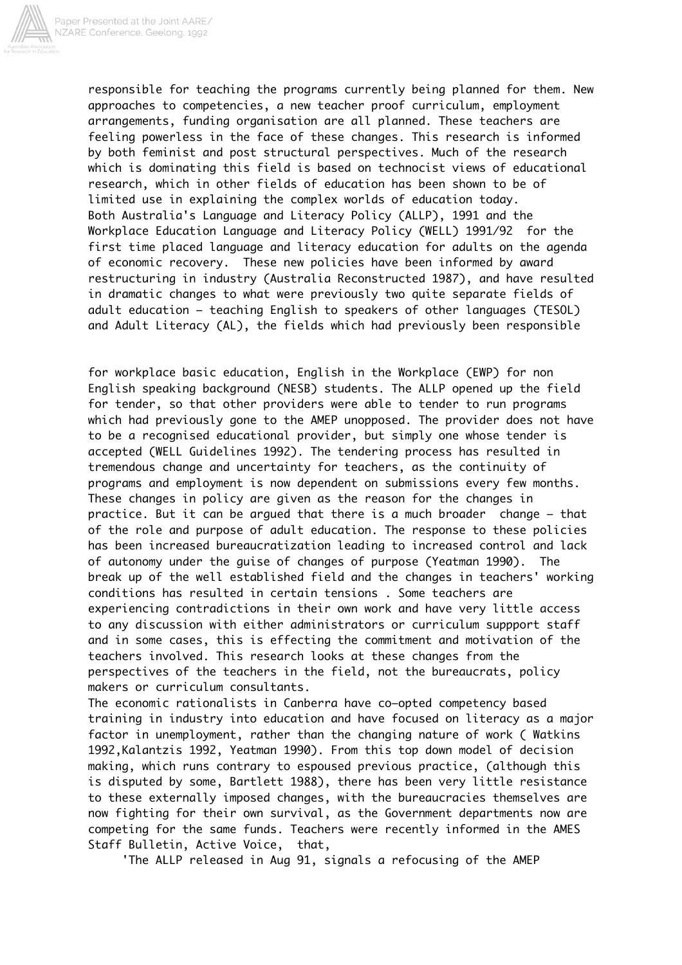

responsible for teaching the programs currently being planned for them. New approaches to competencies, a new teacher proof curriculum, employment arrangements, funding organisation are all planned. These teachers are feeling powerless in the face of these changes. This research is informed by both feminist and post structural perspectives. Much of the research which is dominating this field is based on technocist views of educational research, which in other fields of education has been shown to be of limited use in explaining the complex worlds of education today. Both Australia's Language and Literacy Policy (ALLP), 1991 and the Workplace Education Language and Literacy Policy (WELL) 1991/92 for the first time placed language and literacy education for adults on the agenda of economic recovery. These new policies have been informed by award restructuring in industry (Australia Reconstructed 1987), and have resulted in dramatic changes to what were previously two quite separate fields of adult education – teaching English to speakers of other languages (TESOL) and Adult Literacy (AL), the fields which had previously been responsible

for workplace basic education, English in the Workplace (EWP) for non English speaking background (NESB) students. The ALLP opened up the field for tender, so that other providers were able to tender to run programs which had previously gone to the AMEP unopposed. The provider does not have to be a recognised educational provider, but simply one whose tender is accepted (WELL Guidelines 1992). The tendering process has resulted in tremendous change and uncertainty for teachers, as the continuity of programs and employment is now dependent on submissions every few months. These changes in policy are given as the reason for the changes in practice. But it can be argued that there is a much broader change – that of the role and purpose of adult education. The response to these policies has been increased bureaucratization leading to increased control and lack of autonomy under the guise of changes of purpose (Yeatman 1990). The break up of the well established field and the changes in teachers' working conditions has resulted in certain tensions . Some teachers are experiencing contradictions in their own work and have very little access to any discussion with either administrators or curriculum suppport staff and in some cases, this is effecting the commitment and motivation of the teachers involved. This research looks at these changes from the perspectives of the teachers in the field, not the bureaucrats, policy makers or curriculum consultants.

The economic rationalists in Canberra have co–opted competency based training in industry into education and have focused on literacy as a major factor in unemployment, rather than the changing nature of work ( Watkins 1992,Kalantzis 1992, Yeatman 1990). From this top down model of decision making, which runs contrary to espoused previous practice, (although this is disputed by some, Bartlett 1988), there has been very little resistance to these externally imposed changes, with the bureaucracies themselves are now fighting for their own survival, as the Government departments now are competing for the same funds. Teachers were recently informed in the AMES Staff Bulletin, Active Voice, that,

'The ALLP released in Aug 91, signals a refocusing of the AMEP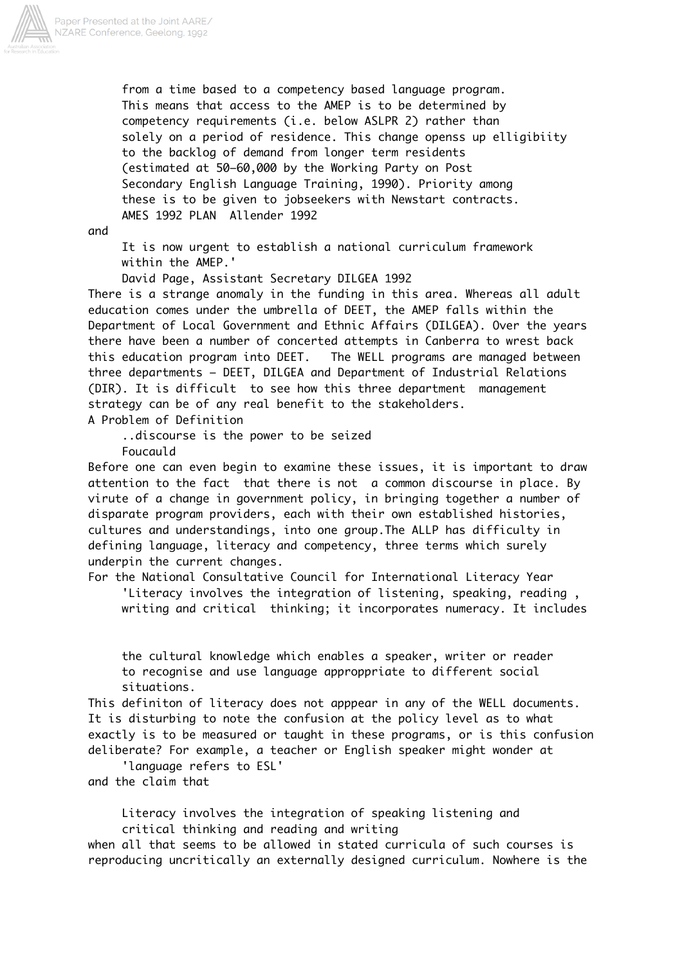

 from a time based to a competency based language program. This means that access to the AMEP is to be determined by competency requirements (i.e. below ASLPR 2) rather than solely on a period of residence. This change openss up elligibiity to the backlog of demand from longer term residents (estimated at 50–60,000 by the Working Party on Post Secondary English Language Training, 1990). Priority among these is to be given to jobseekers with Newstart contracts. AMES 1992 PLAN Allender 1992

and

 It is now urgent to establish a national curriculum framework within the AMEP.'

David Page, Assistant Secretary DILGEA 1992

There is a strange anomaly in the funding in this area. Whereas all adult education comes under the umbrella of DEET, the AMEP falls within the Department of Local Government and Ethnic Affairs (DILGEA). Over the years there have been a number of concerted attempts in Canberra to wrest back this education program into DEET. The WELL programs are managed between three departments – DEET, DILGEA and Department of Industrial Relations (DIR). It is difficult to see how this three department management strategy can be of any real benefit to the stakeholders.

A Problem of Definition

 ..discourse is the power to be seized Foucauld

Before one can even begin to examine these issues, it is important to draw attention to the fact that there is not a common discourse in place. By virute of a change in government policy, in bringing together a number of disparate program providers, each with their own established histories, cultures and understandings, into one group.The ALLP has difficulty in defining language, literacy and competency, three terms which surely underpin the current changes.

For the National Consultative Council for International Literacy Year 'Literacy involves the integration of listening, speaking, reading , writing and critical thinking; it incorporates numeracy. It includes

 the cultural knowledge which enables a speaker, writer or reader to recognise and use language approppriate to different social situations.

This definiton of literacy does not apppear in any of the WELL documents. It is disturbing to note the confusion at the policy level as to what exactly is to be measured or taught in these programs, or is this confusion deliberate? For example, a teacher or English speaker might wonder at

 'language refers to ESL' and the claim that

> Literacy involves the integration of speaking listening and critical thinking and reading and writing

when all that seems to be allowed in stated curricula of such courses is reproducing uncritically an externally designed curriculum. Nowhere is the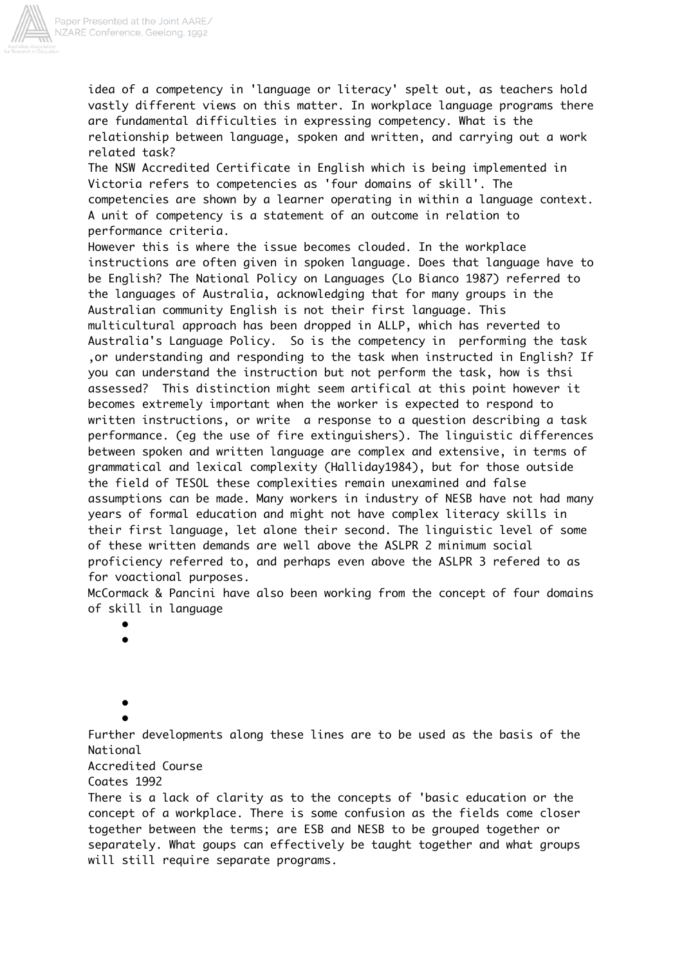

idea of a competency in 'language or literacy' spelt out, as teachers hold vastly different views on this matter. In workplace language programs there are fundamental difficulties in expressing competency. What is the relationship between language, spoken and written, and carrying out a work related task?

The NSW Accredited Certificate in English which is being implemented in Victoria refers to competencies as 'four domains of skill'. The competencies are shown by a learner operating in within a language context. A unit of competency is a statement of an outcome in relation to performance criteria.

However this is where the issue becomes clouded. In the workplace instructions are often given in spoken language. Does that language have to be English? The National Policy on Languages (Lo Bianco 1987) referred to the languages of Australia, acknowledging that for many groups in the Australian community English is not their first language. This multicultural approach has been dropped in ALLP, which has reverted to Australia's Language Policy. So is the competency in performing the task ,or understanding and responding to the task when instructed in English? If you can understand the instruction but not perform the task, how is thsi assessed? This distinction might seem artifical at this point however it becomes extremely important when the worker is expected to respond to written instructions, or write a response to a question describing a task performance. (eg the use of fire extinguishers). The linguistic differences between spoken and written language are complex and extensive, in terms of grammatical and lexical complexity (Halliday1984), but for those outside the field of TESOL these complexities remain unexamined and false assumptions can be made. Many workers in industry of NESB have not had many years of formal education and might not have complex literacy skills in their first language, let alone their second. The linguistic level of some of these written demands are well above the ASLPR 2 minimum social proficiency referred to, and perhaps even above the ASLPR 3 refered to as for voactional purposes.

McCormack & Pancini have also been working from the concept of four domains of skill in language

•

•

 • •

Further developments along these lines are to be used as the basis of the National

Accredited Course

Coates 1992

There is a lack of clarity as to the concepts of 'basic education or the concept of a workplace. There is some confusion as the fields come closer together between the terms; are ESB and NESB to be grouped together or separately. What goups can effectively be taught together and what groups will still require separate programs.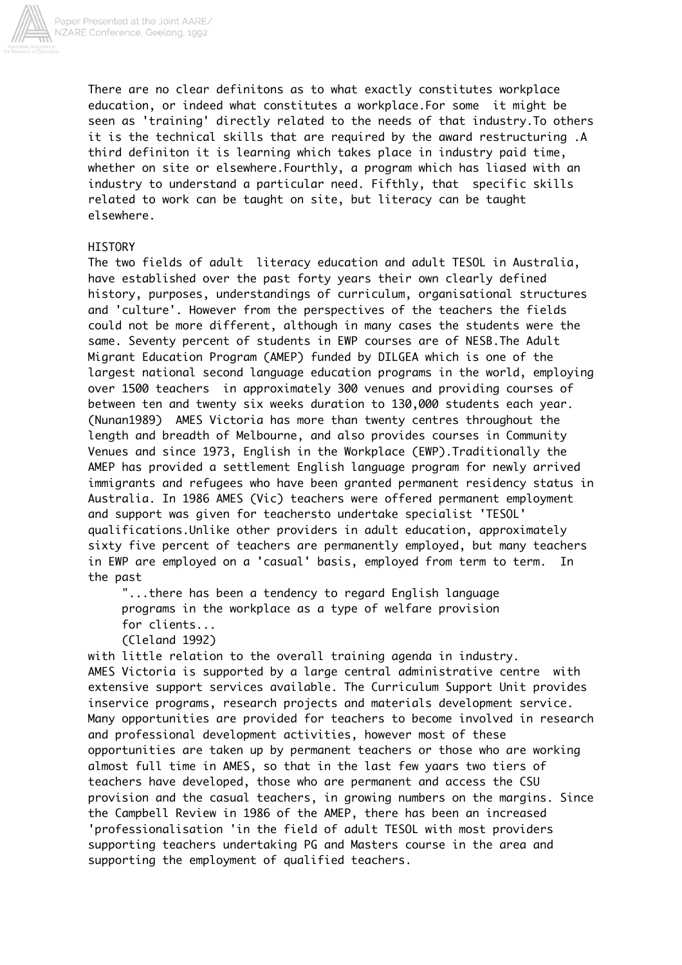

There are no clear definitons as to what exactly constitutes workplace education, or indeed what constitutes a workplace.For some it might be seen as 'training' directly related to the needs of that industry.To others it is the technical skills that are required by the award restructuring .A third definiton it is learning which takes place in industry paid time, whether on site or elsewhere.Fourthly, a program which has liased with an industry to understand a particular need. Fifthly, that specific skills related to work can be taught on site, but literacy can be taught elsewhere.

## **HISTORY**

The two fields of adult literacy education and adult TESOL in Australia, have established over the past forty years their own clearly defined history, purposes, understandings of curriculum, organisational structures and 'culture'. However from the perspectives of the teachers the fields could not be more different, although in many cases the students were the same. Seventy percent of students in EWP courses are of NESB.The Adult Migrant Education Program (AMEP) funded by DILGEA which is one of the largest national second language education programs in the world, employing over 1500 teachers in approximately 300 venues and providing courses of between ten and twenty six weeks duration to 130,000 students each year. (Nunan1989) AMES Victoria has more than twenty centres throughout the length and breadth of Melbourne, and also provides courses in Community Venues and since 1973, English in the Workplace (EWP).Traditionally the AMEP has provided a settlement English language program for newly arrived immigrants and refugees who have been granted permanent residency status in Australia. In 1986 AMES (Vic) teachers were offered permanent employment and support was given for teachersto undertake specialist 'TESOL' qualifications.Unlike other providers in adult education, approximately sixty five percent of teachers are permanently employed, but many teachers in EWP are employed on a 'casual' basis, employed from term to term. In the past

 "...there has been a tendency to regard English language programs in the workplace as a type of welfare provision for clients...

(Cleland 1992)

with little relation to the overall training agenda in industry. AMES Victoria is supported by a large central administrative centre with extensive support services available. The Curriculum Support Unit provides inservice programs, research projects and materials development service. Many opportunities are provided for teachers to become involved in research and professional development activities, however most of these opportunities are taken up by permanent teachers or those who are working almost full time in AMES, so that in the last few yaars two tiers of teachers have developed, those who are permanent and access the CSU provision and the casual teachers, in growing numbers on the margins. Since the Campbell Review in 1986 of the AMEP, there has been an increased 'professionalisation 'in the field of adult TESOL with most providers supporting teachers undertaking PG and Masters course in the area and supporting the employment of qualified teachers.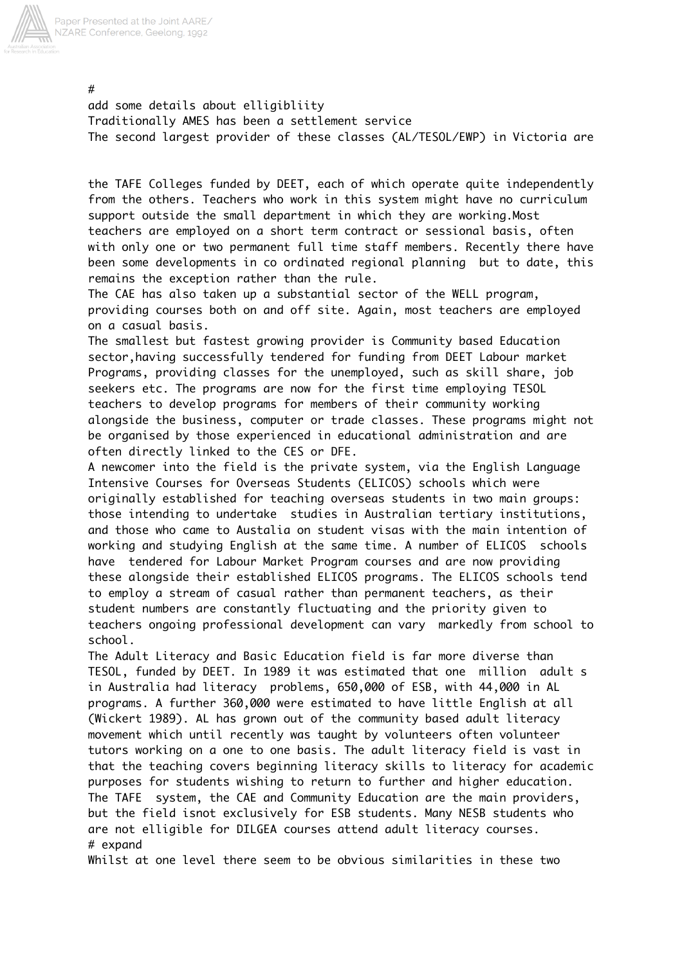

add some details about elligibliity Traditionally AMES has been a settlement service The second largest provider of these classes (AL/TESOL/EWP) in Victoria are

the TAFE Colleges funded by DEET, each of which operate quite independently from the others. Teachers who work in this system might have no curriculum support outside the small department in which they are working.Most teachers are employed on a short term contract or sessional basis, often with only one or two permanent full time staff members. Recently there have been some developments in co ordinated regional planning but to date, this remains the exception rather than the rule.

The CAE has also taken up a substantial sector of the WELL program, providing courses both on and off site. Again, most teachers are employed on a casual basis.

The smallest but fastest growing provider is Community based Education sector,having successfully tendered for funding from DEET Labour market Programs, providing classes for the unemployed, such as skill share, job seekers etc. The programs are now for the first time employing TESOL teachers to develop programs for members of their community working alongside the business, computer or trade classes. These programs might not be organised by those experienced in educational administration and are often directly linked to the CES or DFE.

A newcomer into the field is the private system, via the English Language Intensive Courses for Overseas Students (ELICOS) schools which were originally established for teaching overseas students in two main groups: those intending to undertake studies in Australian tertiary institutions, and those who came to Austalia on student visas with the main intention of working and studying English at the same time. A number of ELICOS schools have tendered for Labour Market Program courses and are now providing these alongside their established ELICOS programs. The ELICOS schools tend to employ a stream of casual rather than permanent teachers, as their student numbers are constantly fluctuating and the priority given to teachers ongoing professional development can vary markedly from school to school.

The Adult Literacy and Basic Education field is far more diverse than TESOL, funded by DEET. In 1989 it was estimated that one million adult s in Australia had literacy problems, 650,000 of ESB, with 44,000 in AL programs. A further 360,000 were estimated to have little English at all (Wickert 1989). AL has grown out of the community based adult literacy movement which until recently was taught by volunteers often volunteer tutors working on a one to one basis. The adult literacy field is vast in that the teaching covers beginning literacy skills to literacy for academic purposes for students wishing to return to further and higher education. The TAFE system, the CAE and Community Education are the main providers, but the field isnot exclusively for ESB students. Many NESB students who are not elligible for DILGEA courses attend adult literacy courses. # expand

Whilst at one level there seem to be obvious similarities in these two

#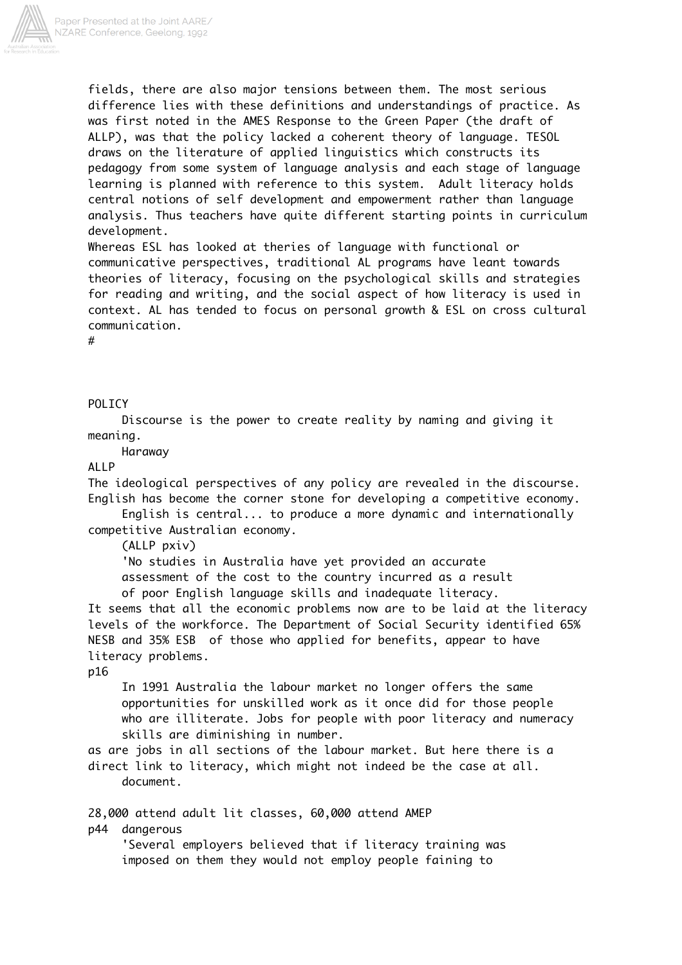

fields, there are also major tensions between them. The most serious difference lies with these definitions and understandings of practice. As was first noted in the AMES Response to the Green Paper (the draft of ALLP), was that the policy lacked a coherent theory of language. TESOL draws on the literature of applied linguistics which constructs its pedagogy from some system of language analysis and each stage of language learning is planned with reference to this system. Adult literacy holds central notions of self development and empowerment rather than language analysis. Thus teachers have quite different starting points in curriculum development.

Whereas ESL has looked at theries of language with functional or communicative perspectives, traditional AL programs have leant towards theories of literacy, focusing on the psychological skills and strategies for reading and writing, and the social aspect of how literacy is used in context. AL has tended to focus on personal growth & ESL on cross cultural communication.

#

# POLICY

 Discourse is the power to create reality by naming and giving it meaning.

Haraway

## ALLP

The ideological perspectives of any policy are revealed in the discourse. English has become the corner stone for developing a competitive economy.

 English is central... to produce a more dynamic and internationally competitive Australian economy.

(ALLP pxiv)

 'No studies in Australia have yet provided an accurate assessment of the cost to the country incurred as a result of poor English language skills and inadequate literacy.

It seems that all the economic problems now are to be laid at the literacy levels of the workforce. The Department of Social Security identified 65% NESB and 35% ESB of those who applied for benefits, appear to have literacy problems.

### p16

 In 1991 Australia the labour market no longer offers the same opportunities for unskilled work as it once did for those people who are illiterate. Jobs for people with poor literacy and numeracy skills are diminishing in number.

as are jobs in all sections of the labour market. But here there is a direct link to literacy, which might not indeed be the case at all. document.

28,000 attend adult lit classes, 60,000 attend AMEP p44 dangerous

 'Several employers believed that if literacy training was imposed on them they would not employ people faining to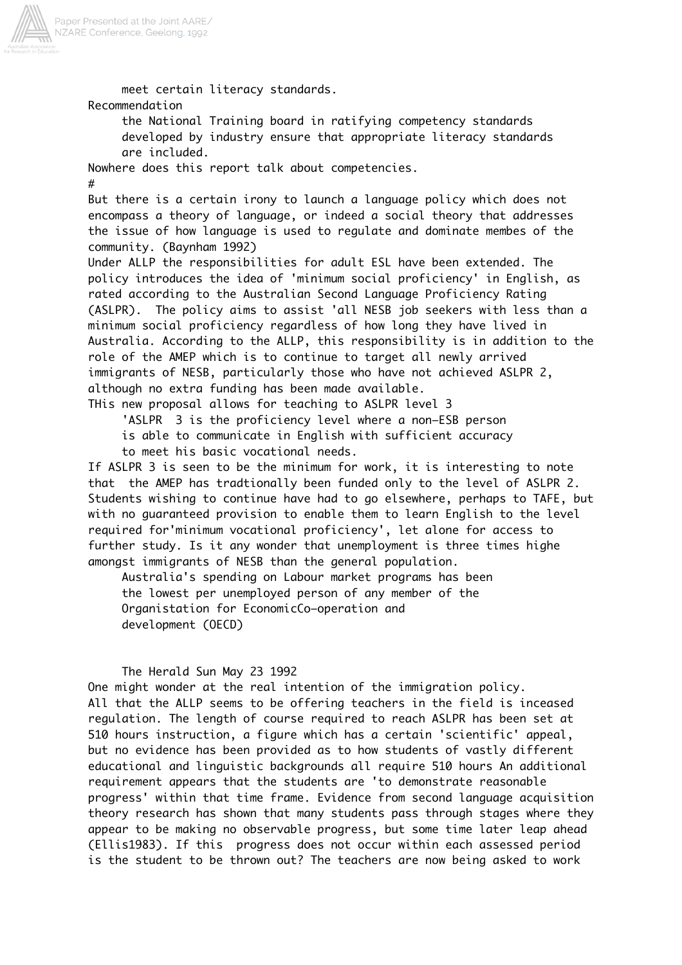

 meet certain literacy standards. Recommendation the National Training board in ratifying competency standards developed by industry ensure that appropriate literacy standards are included. Nowhere does this report talk about competencies. # But there is a certain irony to launch a language policy which does not encompass a theory of language, or indeed a social theory that addresses the issue of how language is used to regulate and dominate membes of the community. (Baynham 1992) Under ALLP the responsibilities for adult ESL have been extended. The policy introduces the idea of 'minimum social proficiency' in English, as rated according to the Australian Second Language Proficiency Rating (ASLPR). The policy aims to assist 'all NESB job seekers with less than a minimum social proficiency regardless of how long they have lived in Australia. According to the ALLP, this responsibility is in addition to the role of the AMEP which is to continue to target all newly arrived immigrants of NESB, particularly those who have not achieved ASLPR 2, although no extra funding has been made available. THis new proposal allows for teaching to ASLPR level 3 'ASLPR 3 is the proficiency level where a non–ESB person is able to communicate in English with sufficient accuracy to meet his basic vocational needs. If ASLPR 3 is seen to be the minimum for work, it is interesting to note that the AMEP has tradtionally been funded only to the level of ASLPR 2. Students wishing to continue have had to go elsewhere, perhaps to TAFE, but with no guaranteed provision to enable them to learn English to the level required for'minimum vocational proficiency', let alone for access to further study. Is it any wonder that unemployment is three times highe amongst immigrants of NESB than the general population. Australia's spending on Labour market programs has been the lowest per unemployed person of any member of the Organistation for EconomicCo–operation and development (OECD) The Herald Sun May 23 1992 One might wonder at the real intention of the immigration policy. All that the ALLP seems to be offering teachers in the field is inceased regulation. The length of course required to reach ASLPR has been set at 510 hours instruction, a figure which has a certain 'scientific' appeal, but no evidence has been provided as to how students of vastly different educational and linguistic backgrounds all require 510 hours An additional requirement appears that the students are 'to demonstrate reasonable progress' within that time frame. Evidence from second language acquisition theory research has shown that many students pass through stages where they appear to be making no observable progress, but some time later leap ahead (Ellis1983). If this progress does not occur within each assessed period

is the student to be thrown out? The teachers are now being asked to work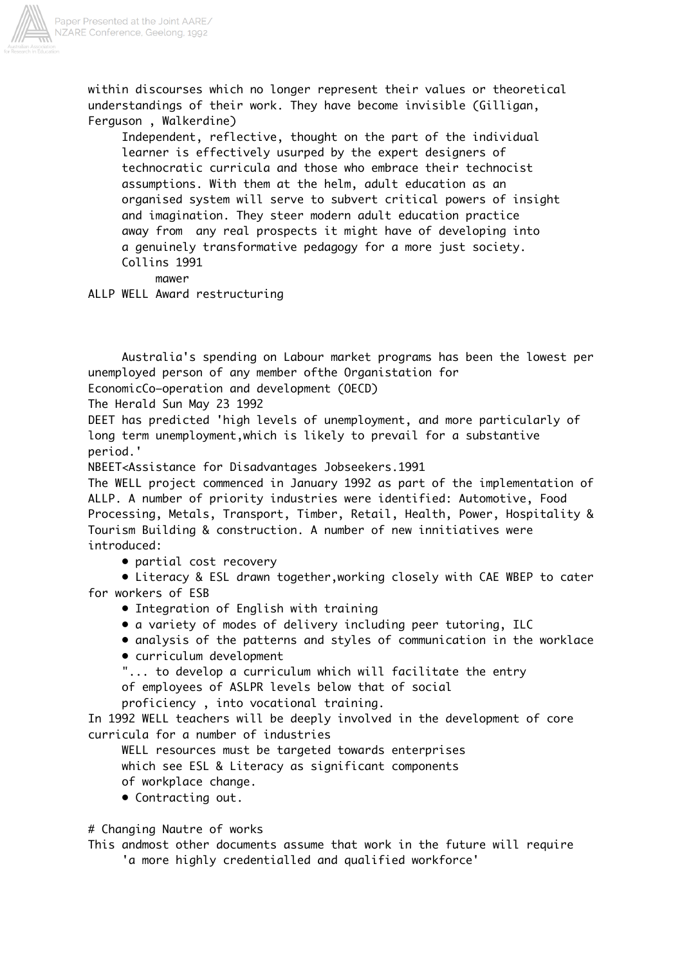

within discourses which no longer represent their values or theoretical understandings of their work. They have become invisible (Gilligan, Ferguson , Walkerdine)

 Independent, reflective, thought on the part of the individual learner is effectively usurped by the expert designers of technocratic curricula and those who embrace their technocist assumptions. With them at the helm, adult education as an organised system will serve to subvert critical powers of insight and imagination. They steer modern adult education practice away from any real prospects it might have of developing into a genuinely transformative pedagogy for a more just society. Collins 1991

mawer

ALLP WELL Award restructuring

 Australia's spending on Labour market programs has been the lowest per unemployed person of any member ofthe Organistation for

EconomicCo–operation and development (OECD)

The Herald Sun May 23 1992

DEET has predicted 'high levels of unemployment, and more particularly of long term unemployment,which is likely to prevail for a substantive period.'

NBEET<Assistance for Disadvantages Jobseekers.1991

The WELL project commenced in January 1992 as part of the implementation of ALLP. A number of priority industries were identified: Automotive, Food Processing, Metals, Transport, Timber, Retail, Health, Power, Hospitality & Tourism Building & construction. A number of new innitiatives were introduced:

• partial cost recovery

 • Literacy & ESL drawn together,working closely with CAE WBEP to cater for workers of ESB

- Integration of English with training
- a variety of modes of delivery including peer tutoring, ILC

• analysis of the patterns and styles of communication in the worklace

• curriculum development

"... to develop a curriculum which will facilitate the entry

of employees of ASLPR levels below that of social

proficiency , into vocational training.

In 1992 WELL teachers will be deeply involved in the development of core curricula for a number of industries

WELL resources must be targeted towards enterprises

which see ESL & Literacy as significant components

- of workplace change.
- Contracting out.

# Changing Nautre of works

This andmost other documents assume that work in the future will require 'a more highly credentialled and qualified workforce'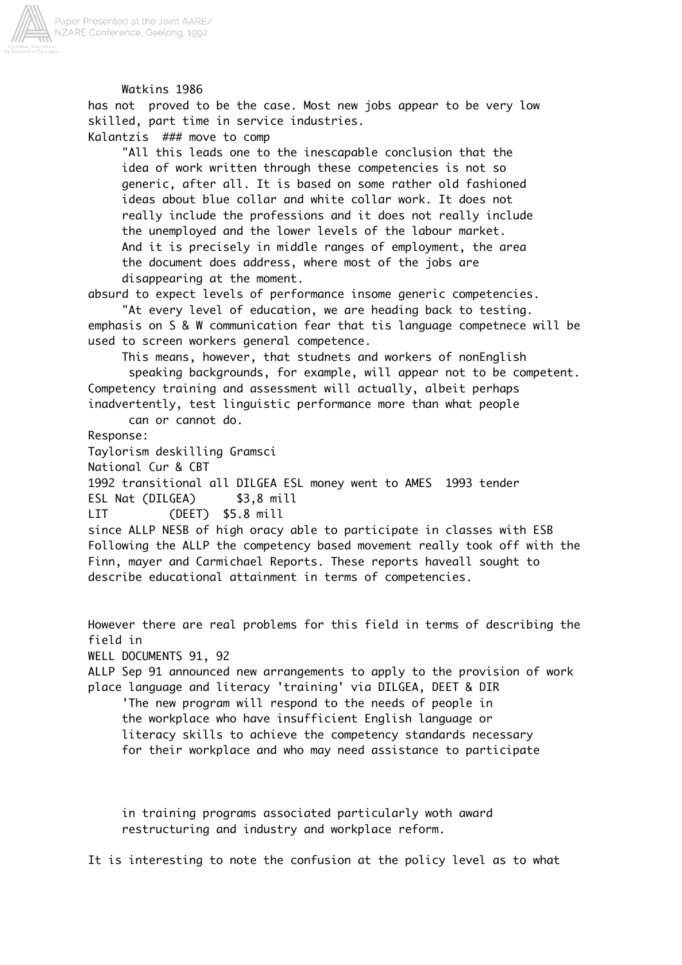

 Watkins 1986 has not proved to be the case. Most new jobs appear to be very low skilled, part time in service industries. Kalantzis ### move to comp "All this leads one to the inescapable conclusion that the idea of work written through these competencies is not so generic, after all. It is based on some rather old fashioned ideas about blue collar and white collar work. It does not really include the professions and it does not really include the unemployed and the lower levels of the labour market. And it is precisely in middle ranges of employment, the area the document does address, where most of the jobs are disappearing at the moment. absurd to expect levels of performance insome generic competencies. "At every level of education, we are heading back to testing. emphasis on S & W communication fear that tis language competnece will be used to screen workers general competence. This means, however, that studnets and workers of nonEnglish speaking backgrounds, for example, will appear not to be competent. Competency training and assessment will actually, albeit perhaps inadvertently, test linguistic performance more than what people can or cannot do. Response: Taylorism deskilling Gramsci National Cur & CBT 1992 transitional all DILGEA ESL money went to AMES 1993 tender ESL Nat (DILGEA) \$3,8 mill LIT (DEET) \$5.8 mill since ALLP NESB of high oracy able to participate in classes with ESB Following the ALLP the competency based movement really took off with the Finn, mayer and Carmichael Reports. These reports haveall sought to describe educational attainment in terms of competencies. However there are real problems for this field in terms of describing the field in WELL DOCUMENTS 91, 92 ALLP Sep 91 announced new arrangements to apply to the provision of work place language and literacy 'training' via DILGEA, DEET & DIR 'The new program will respond to the needs of people in the workplace who have insufficient English language or literacy skills to achieve the competency standards necessary for their workplace and who may need assistance to participate

 in training programs associated particularly woth award restructuring and industry and workplace reform.

It is interesting to note the confusion at the policy level as to what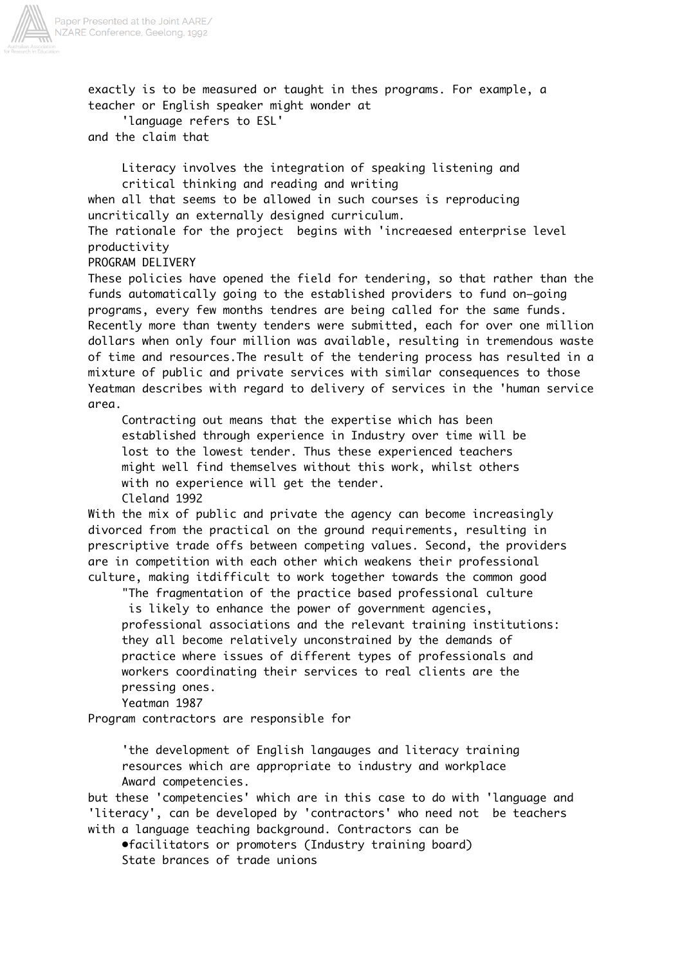

exactly is to be measured or taught in thes programs. For example, a teacher or English speaker might wonder at

 'language refers to ESL' and the claim that

> Literacy involves the integration of speaking listening and critical thinking and reading and writing

when all that seems to be allowed in such courses is reproducing uncritically an externally designed curriculum.

The rationale for the project begins with 'increaesed enterprise level productivity

PROGRAM DELIVERY

These policies have opened the field for tendering, so that rather than the funds automatically going to the established providers to fund on–going programs, every few months tendres are being called for the same funds. Recently more than twenty tenders were submitted, each for over one million dollars when only four million was available, resulting in tremendous waste of time and resources.The result of the tendering process has resulted in a mixture of public and private services with similar consequences to those Yeatman describes with regard to delivery of services in the 'human service area.

 Contracting out means that the expertise which has been established through experience in Industry over time will be lost to the lowest tender. Thus these experienced teachers might well find themselves without this work, whilst others with no experience will get the tender. Cleland 1992

With the mix of public and private the agency can become increasingly divorced from the practical on the ground requirements, resulting in prescriptive trade offs between competing values. Second, the providers are in competition with each other which weakens their professional culture, making itdifficult to work together towards the common good

 "The fragmentation of the practice based professional culture is likely to enhance the power of government agencies, professional associations and the relevant training institutions: they all become relatively unconstrained by the demands of practice where issues of different types of professionals and workers coordinating their services to real clients are the pressing ones.

Yeatman 1987

Program contractors are responsible for

 'the development of English langauges and literacy training resources which are appropriate to industry and workplace Award competencies.

but these 'competencies' which are in this case to do with 'language and 'literacy', can be developed by 'contractors' who need not be teachers with a language teaching background. Contractors can be

 •facilitators or promoters (Industry training board) State brances of trade unions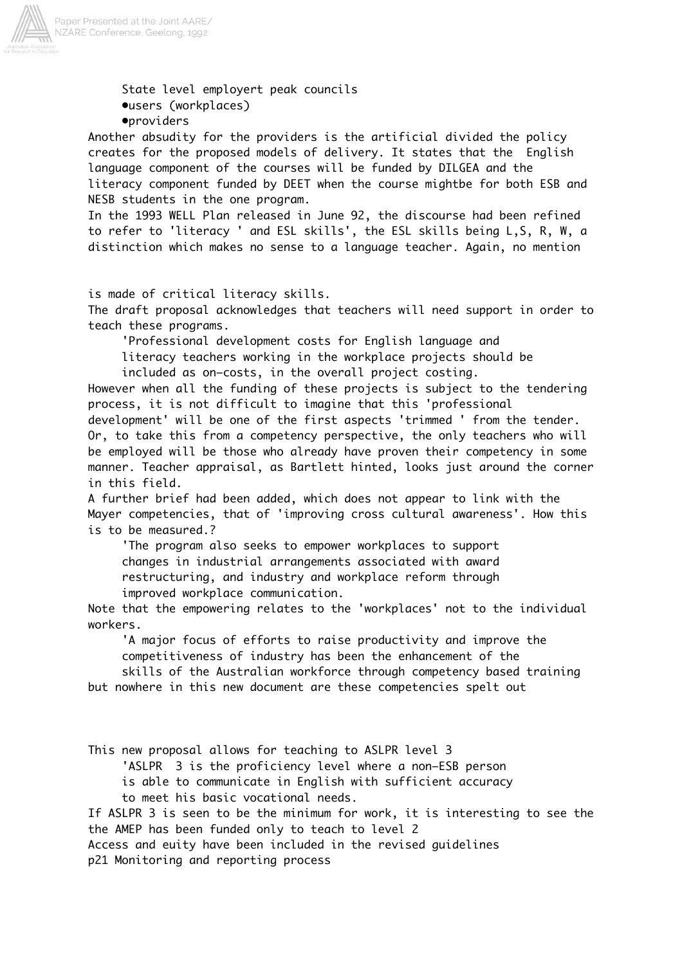

 State level employert peak councils •users (workplaces)

•providers

Another absudity for the providers is the artificial divided the policy creates for the proposed models of delivery. It states that the English language component of the courses will be funded by DILGEA and the literacy component funded by DEET when the course mightbe for both ESB and NESB students in the one program.

In the 1993 WELL Plan released in June 92, the discourse had been refined to refer to 'literacy ' and ESL skills', the ESL skills being L,S, R, W, a distinction which makes no sense to a language teacher. Again, no mention

is made of critical literacy skills.

The draft proposal acknowledges that teachers will need support in order to teach these programs.

'Professional development costs for English language and

 literacy teachers working in the workplace projects should be included as on–costs, in the overall project costing.

However when all the funding of these projects is subject to the tendering process, it is not difficult to imagine that this 'professional

development' will be one of the first aspects 'trimmed ' from the tender. Or, to take this from a competency perspective, the only teachers who will be employed will be those who already have proven their competency in some manner. Teacher appraisal, as Bartlett hinted, looks just around the corner in this field.

A further brief had been added, which does not appear to link with the Mayer competencies, that of 'improving cross cultural awareness'. How this is to be measured.?

 'The program also seeks to empower workplaces to support changes in industrial arrangements associated with award restructuring, and industry and workplace reform through improved workplace communication.

Note that the empowering relates to the 'workplaces' not to the individual workers.

 'A major focus of efforts to raise productivity and improve the competitiveness of industry has been the enhancement of the

 skills of the Australian workforce through competency based training but nowhere in this new document are these competencies spelt out

This new proposal allows for teaching to ASLPR level 3

'ASLPR 3 is the proficiency level where a non–ESB person

is able to communicate in English with sufficient accuracy

to meet his basic vocational needs.

If ASLPR 3 is seen to be the minimum for work, it is interesting to see the the AMEP has been funded only to teach to level 2

Access and euity have been included in the revised guidelines p21 Monitoring and reporting process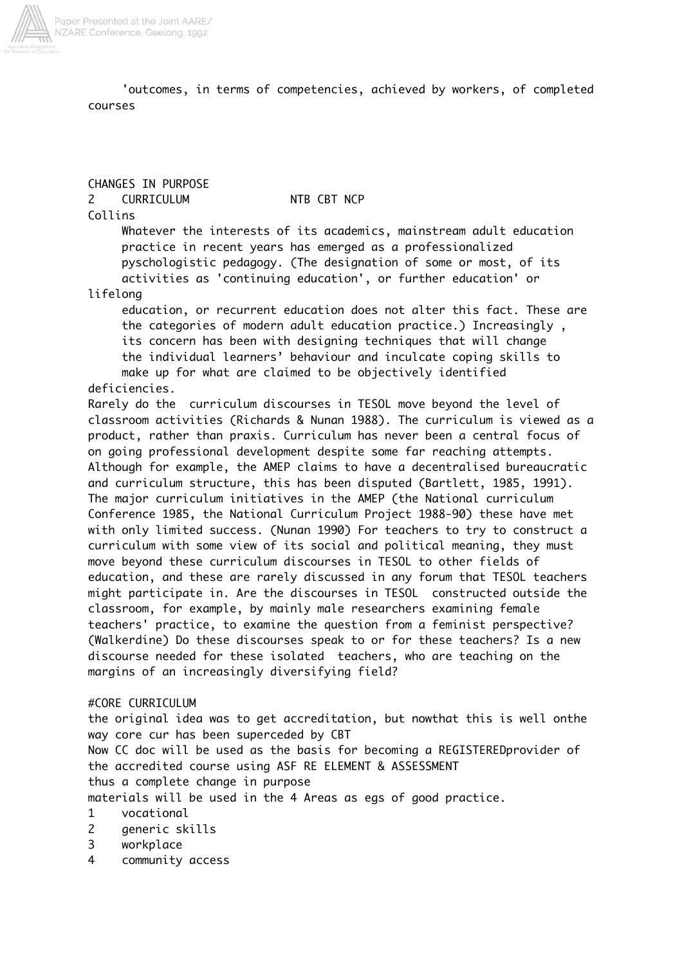

 'outcomes, in terms of competencies, achieved by workers, of completed courses

CHANGES IN PURPOSE 2 CURRICULUM NTB CBT NCP

Collins

 Whatever the interests of its academics, mainstream adult education practice in recent years has emerged as a professionalized pyschologistic pedagogy. (The designation of some or most, of its activities as 'continuing education', or further education' or

lifelong

 education, or recurrent education does not alter this fact. These are the categories of modern adult education practice.) Increasingly , its concern has been with designing techniques that will change the individual learners' behaviour and inculcate coping skills to make up for what are claimed to be objectively identified deficiencies.

Rarely do the curriculum discourses in TESOL move beyond the level of classroom activities (Richards & Nunan 1988). The curriculum is viewed as a product, rather than praxis. Curriculum has never been a central focus of on going professional development despite some far reaching attempts. Although for example, the AMEP claims to have a decentralised bureaucratic and curriculum structure, this has been disputed (Bartlett, 1985, 1991). The major curriculum initiatives in the AMEP (the National curriculum Conference 1985, the National Curriculum Project 1988-90) these have met with only limited success. (Nunan 1990) For teachers to try to construct a curriculum with some view of its social and political meaning, they must move beyond these curriculum discourses in TESOL to other fields of education, and these are rarely discussed in any forum that TESOL teachers might participate in. Are the discourses in TESOL constructed outside the classroom, for example, by mainly male researchers examining female teachers' practice, to examine the question from a feminist perspective? (Walkerdine) Do these discourses speak to or for these teachers? Is a new discourse needed for these isolated teachers, who are teaching on the margins of an increasingly diversifying field?

### #CORE CURRICULUM

the original idea was to get accreditation, but nowthat this is well onthe way core cur has been superceded by CBT Now CC doc will be used as the basis for becoming a REGISTEREDprovider of the accredited course using ASF RE ELEMENT & ASSESSMENT thus a complete change in purpose materials will be used in the 4 Areas as egs of good practice.

- 1 vocational
- 2 generic skills
- 3 workplace
- 4 community access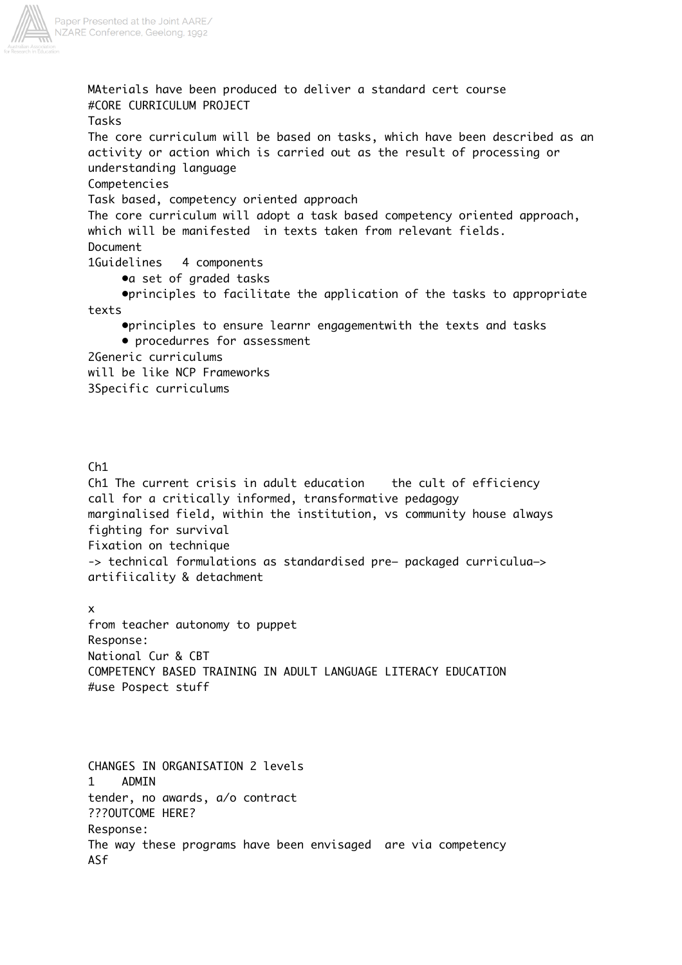

MAterials have been produced to deliver a standard cert course #CORE CURRICULUM PROJECT Tasks The core curriculum will be based on tasks, which have been described as an activity or action which is carried out as the result of processing or understanding language Competencies Task based, competency oriented approach The core curriculum will adopt a task based competency oriented approach, which will be manifested in texts taken from relevant fields. Document 1Guidelines 4 components •a set of graded tasks •principles to facilitate the application of the tasks to appropriate texts •principles to ensure learnr engagementwith the texts and tasks • procedurres for assessment 2Generic curriculums will be like NCP Frameworks 3Specific curriculums

## Ch1

Ch1 The current crisis in adult education the cult of efficiency call for a critically informed, transformative pedagogy marginalised field, within the institution, vs community house always fighting for survival Fixation on technique -> technical formulations as standardised pre– packaged curriculua–> artifiicality & detachment

## x

from teacher autonomy to puppet Response: National Cur & CBT COMPETENCY BASED TRAINING IN ADULT LANGUAGE LITERACY EDUCATION #use Pospect stuff

CHANGES IN ORGANISATION 2 levels 1 ADMIN tender, no awards, a/o contract ???OUTCOME HERE? Response: The way these programs have been envisaged are via competency ASf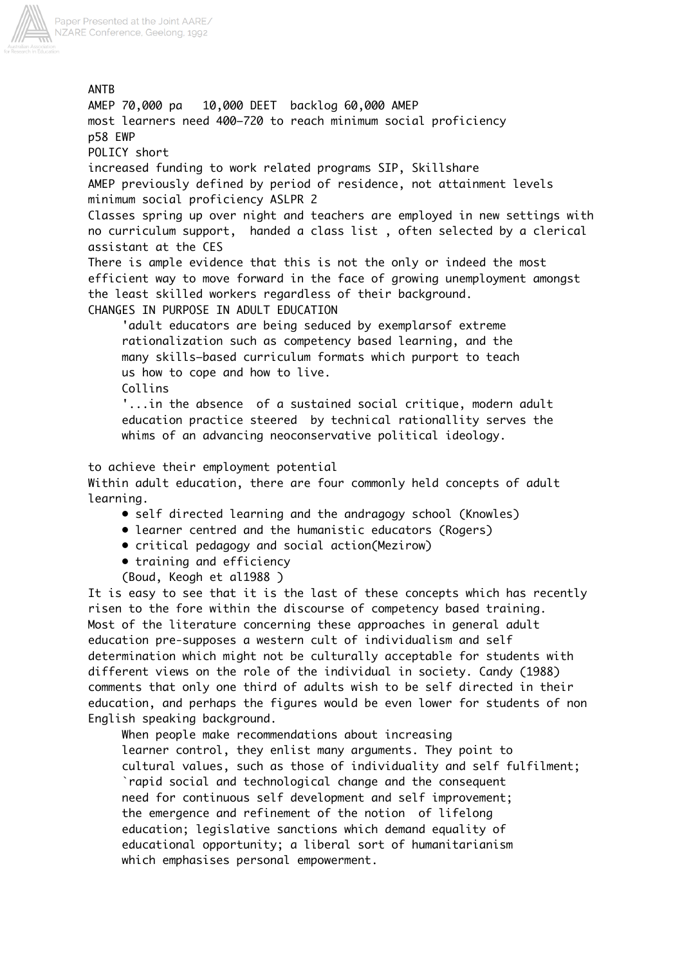

ANTB AMEP 70,000 pa 10,000 DEET backlog 60,000 AMEP most learners need 400–720 to reach minimum social proficiency p58 EWP POLICY short increased funding to work related programs SIP, Skillshare AMEP previously defined by period of residence, not attainment levels minimum social proficiency ASLPR 2 Classes spring up over night and teachers are employed in new settings with no curriculum support, handed a class list , often selected by a clerical assistant at the CES There is ample evidence that this is not the only or indeed the most efficient way to move forward in the face of growing unemployment amongst the least skilled workers regardless of their background. CHANGES IN PURPOSE IN ADULT EDUCATION 'adult educators are being seduced by exemplarsof extreme rationalization such as competency based learning, and the many skills–based curriculum formats which purport to teach us how to cope and how to live. Collins '...in the absence of a sustained social critique, modern adult education practice steered by technical rationallity serves the whims of an advancing neoconservative political ideology. to achieve their employment potential Within adult education, there are four commonly held concepts of adult learning. • self directed learning and the andragogy school (Knowles)

- learner centred and the humanistic educators (Rogers)
- critical pedagogy and social action(Mezirow)
- training and efficiency
- (Boud, Keogh et al1988 )

It is easy to see that it is the last of these concepts which has recently risen to the fore within the discourse of competency based training. Most of the literature concerning these approaches in general adult education pre-supposes a western cult of individualism and self determination which might not be culturally acceptable for students with different views on the role of the individual in society. Candy (1988) comments that only one third of adults wish to be self directed in their education, and perhaps the figures would be even lower for students of non English speaking background.

 When people make recommendations about increasing learner control, they enlist many arguments. They point to cultural values, such as those of individuality and self fulfilment; `rapid social and technological change and the consequent need for continuous self development and self improvement; the emergence and refinement of the notion of lifelong education; legislative sanctions which demand equality of educational opportunity; a liberal sort of humanitarianism which emphasises personal empowerment.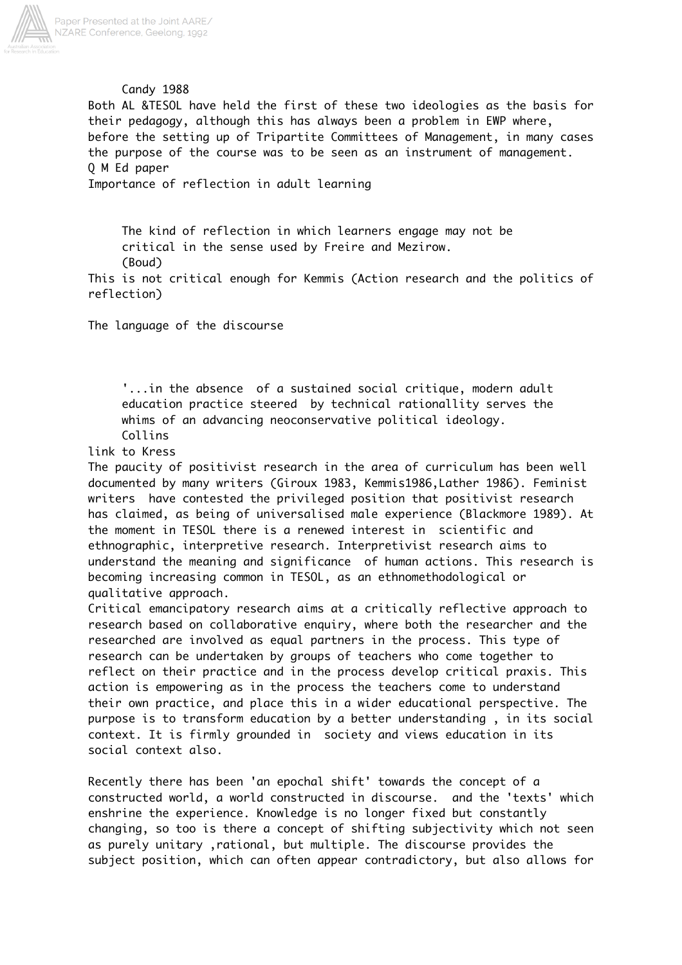

## Candy 1988

Both AL &TESOL have held the first of these two ideologies as the basis for their pedagogy, although this has always been a problem in EWP where, before the setting up of Tripartite Committees of Management, in many cases the purpose of the course was to be seen as an instrument of management. Q M Ed paper

Importance of reflection in adult learning

 The kind of reflection in which learners engage may not be critical in the sense used by Freire and Mezirow. (Boud)

This is not critical enough for Kemmis (Action research and the politics of reflection)

The language of the discourse

 '...in the absence of a sustained social critique, modern adult education practice steered by technical rationallity serves the whims of an advancing neoconservative political ideology. Collins

link to Kress

The paucity of positivist research in the area of curriculum has been well documented by many writers (Giroux 1983, Kemmis1986,Lather 1986). Feminist writers have contested the privileged position that positivist research has claimed, as being of universalised male experience (Blackmore 1989). At the moment in TESOL there is a renewed interest in scientific and ethnographic, interpretive research. Interpretivist research aims to understand the meaning and significance of human actions. This research is becoming increasing common in TESOL, as an ethnomethodological or qualitative approach.

Critical emancipatory research aims at a critically reflective approach to research based on collaborative enquiry, where both the researcher and the researched are involved as equal partners in the process. This type of research can be undertaken by groups of teachers who come together to reflect on their practice and in the process develop critical praxis. This action is empowering as in the process the teachers come to understand their own practice, and place this in a wider educational perspective. The purpose is to transform education by a better understanding , in its social context. It is firmly grounded in society and views education in its social context also.

Recently there has been 'an epochal shift' towards the concept of a constructed world, a world constructed in discourse. and the 'texts' which enshrine the experience. Knowledge is no longer fixed but constantly changing, so too is there a concept of shifting subjectivity which not seen as purely unitary ,rational, but multiple. The discourse provides the subject position, which can often appear contradictory, but also allows for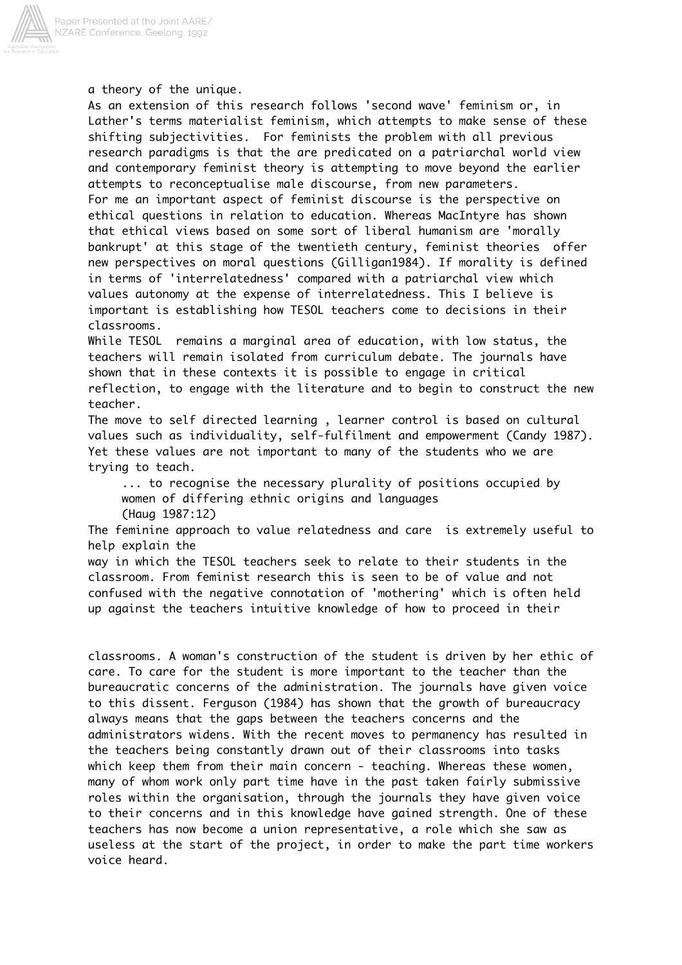

a theory of the unique.

As an extension of this research follows 'second wave' feminism or, in Lather's terms materialist feminism, which attempts to make sense of these shifting subjectivities. For feminists the problem with all previous research paradigms is that the are predicated on a patriarchal world view and contemporary feminist theory is attempting to move beyond the earlier attempts to reconceptualise male discourse, from new parameters. For me an important aspect of feminist discourse is the perspective on ethical questions in relation to education. Whereas MacIntyre has shown that ethical views based on some sort of liberal humanism are 'morally bankrupt' at this stage of the twentieth century, feminist theories offer new perspectives on moral questions (Gilligan1984). If morality is defined in terms of 'interrelatedness' compared with a patriarchal view which values autonomy at the expense of interrelatedness. This I believe is important is establishing how TESOL teachers come to decisions in their classrooms.

While TESOL remains a marginal area of education, with low status, the teachers will remain isolated from curriculum debate. The journals have shown that in these contexts it is possible to engage in critical reflection, to engage with the literature and to begin to construct the new teacher.

The move to self directed learning , learner control is based on cultural values such as individuality, self-fulfilment and empowerment (Candy 1987). Yet these values are not important to many of the students who we are trying to teach.

 ... to recognise the necessary plurality of positions occupied by women of differing ethnic origins and languages (Haug 1987:12)

The feminine approach to value relatedness and care is extremely useful to help explain the

way in which the TESOL teachers seek to relate to their students in the classroom. From feminist research this is seen to be of value and not confused with the negative connotation of 'mothering' which is often held up against the teachers intuitive knowledge of how to proceed in their

classrooms. A woman's construction of the student is driven by her ethic of care. To care for the student is more important to the teacher than the bureaucratic concerns of the administration. The journals have given voice to this dissent. Ferguson (1984) has shown that the growth of bureaucracy always means that the gaps between the teachers concerns and the administrators widens. With the recent moves to permanency has resulted in the teachers being constantly drawn out of their classrooms into tasks which keep them from their main concern - teaching. Whereas these women, many of whom work only part time have in the past taken fairly submissive roles within the organisation, through the journals they have given voice to their concerns and in this knowledge have gained strength. One of these teachers has now become a union representative, a role which she saw as useless at the start of the project, in order to make the part time workers voice heard.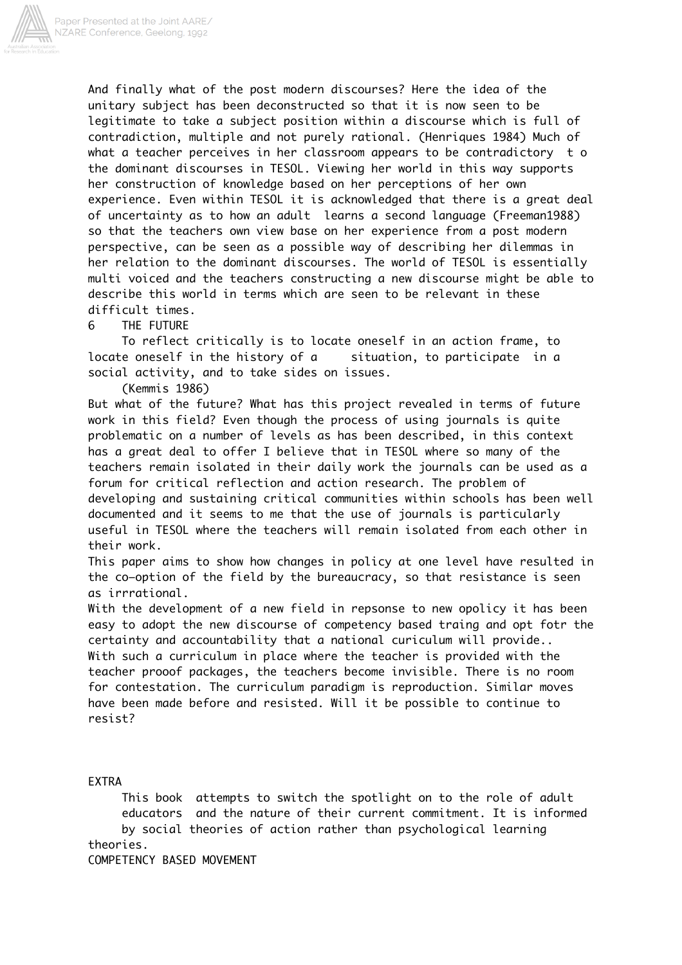

And finally what of the post modern discourses? Here the idea of the unitary subject has been deconstructed so that it is now seen to be legitimate to take a subject position within a discourse which is full of contradiction, multiple and not purely rational. (Henriques 1984) Much of what a teacher perceives in her classroom appears to be contradictory t o the dominant discourses in TESOL. Viewing her world in this way supports her construction of knowledge based on her perceptions of her own experience. Even within TESOL it is acknowledged that there is a great deal of uncertainty as to how an adult learns a second language (Freeman1988) so that the teachers own view base on her experience from a post modern perspective, can be seen as a possible way of describing her dilemmas in her relation to the dominant discourses. The world of TESOL is essentially multi voiced and the teachers constructing a new discourse might be able to describe this world in terms which are seen to be relevant in these difficult times.

### 6 THE FUTURE

 To reflect critically is to locate oneself in an action frame, to locate oneself in the history of a situation, to participate in a social activity, and to take sides on issues.

(Kemmis 1986)

But what of the future? What has this project revealed in terms of future work in this field? Even though the process of using journals is quite problematic on a number of levels as has been described, in this context has a great deal to offer I believe that in TESOL where so many of the teachers remain isolated in their daily work the journals can be used as a forum for critical reflection and action research. The problem of developing and sustaining critical communities within schools has been well documented and it seems to me that the use of journals is particularly useful in TESOL where the teachers will remain isolated from each other in their work.

This paper aims to show how changes in policy at one level have resulted in the co–option of the field by the bureaucracy, so that resistance is seen as irrrational.

With the development of a new field in repsonse to new opolicy it has been easy to adopt the new discourse of competency based traing and opt fotr the certainty and accountability that a national curiculum will provide.. With such a curriculum in place where the teacher is provided with the teacher prooof packages, the teachers become invisible. There is no room for contestation. The curriculum paradigm is reproduction. Similar moves have been made before and resisted. Will it be possible to continue to resist?

#### EXTRA

 This book attempts to switch the spotlight on to the role of adult educators and the nature of their current commitment. It is informed by social theories of action rather than psychological learning theories.

COMPETENCY BASED MOVEMENT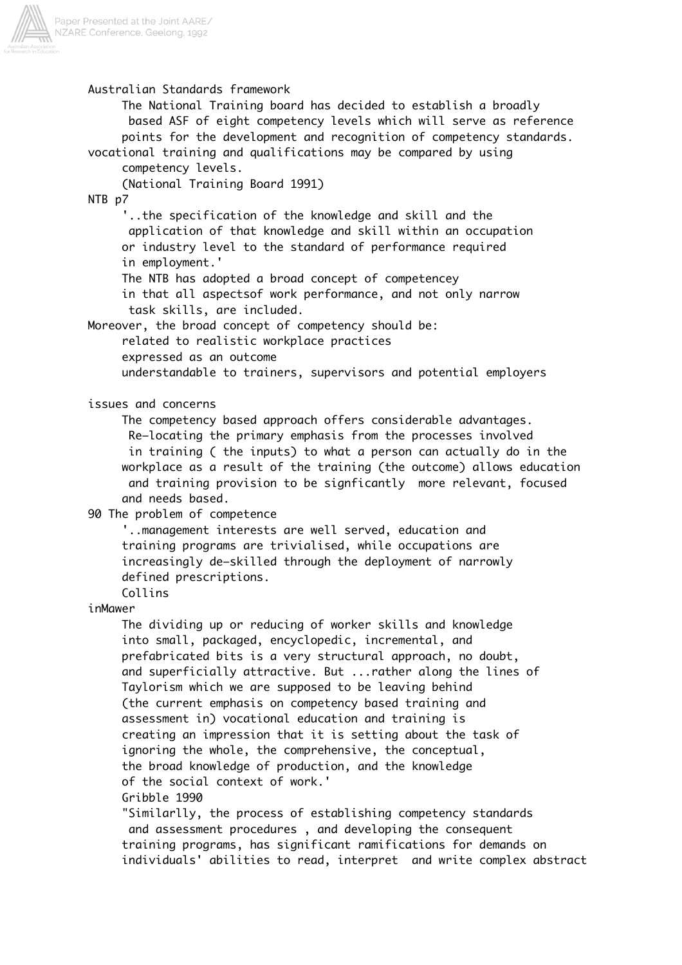

## Australian Standards framework

 The National Training board has decided to establish a broadly based ASF of eight competency levels which will serve as reference points for the development and recognition of competency standards. vocational training and qualifications may be compared by using

competency levels.

(National Training Board 1991)

NTB p7

 '..the specification of the knowledge and skill and the application of that knowledge and skill within an occupation or industry level to the standard of performance required in employment.'

The NTB has adopted a broad concept of competencey

 in that all aspectsof work performance, and not only narrow task skills, are included.

Moreover, the broad concept of competency should be:

related to realistic workplace practices

expressed as an outcome

understandable to trainers, supervisors and potential employers

issues and concerns

 The competency based approach offers considerable advantages. Re–locating the primary emphasis from the processes involved in training ( the inputs) to what a person can actually do in the workplace as a result of the training (the outcome) allows education and training provision to be signficantly more relevant, focused and needs based.

## 90 The problem of competence

 '..management interests are well served, education and training programs are trivialised, while occupations are increasingly de–skilled through the deployment of narrowly defined prescriptions.

Collins

inMawer

 The dividing up or reducing of worker skills and knowledge into small, packaged, encyclopedic, incremental, and prefabricated bits is a very structural approach, no doubt, and superficially attractive. But ...rather along the lines of Taylorism which we are supposed to be leaving behind (the current emphasis on competency based training and assessment in) vocational education and training is creating an impression that it is setting about the task of ignoring the whole, the comprehensive, the conceptual, the broad knowledge of production, and the knowledge of the social context of work.' Gribble 1990

 "Similarlly, the process of establishing competency standards and assessment procedures , and developing the consequent training programs, has significant ramifications for demands on individuals' abilities to read, interpret and write complex abstract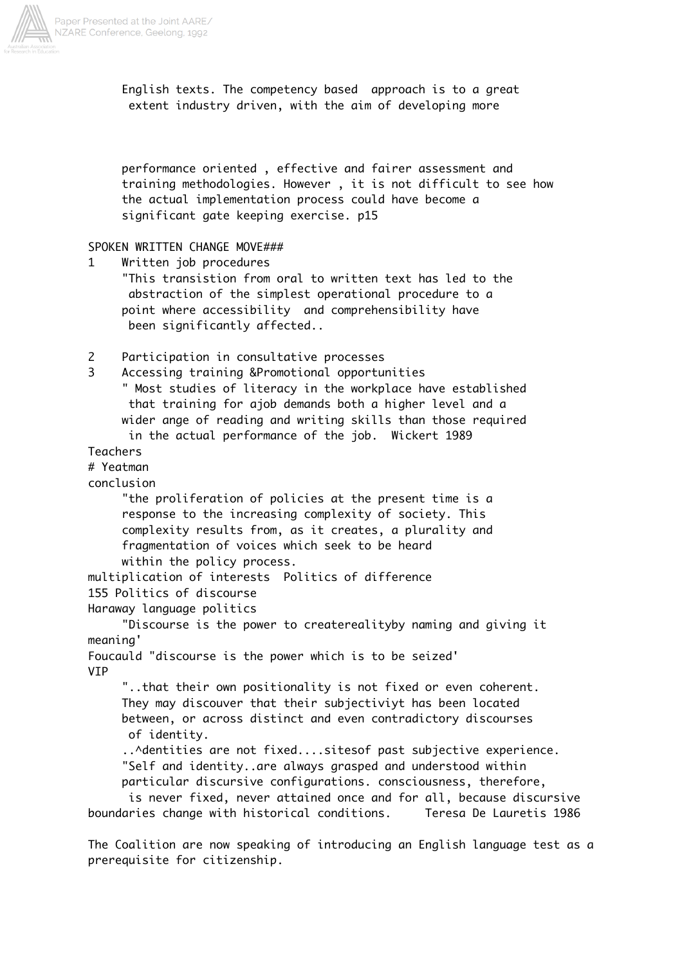

 English texts. The competency based approach is to a great extent industry driven, with the aim of developing more

 performance oriented , effective and fairer assessment and training methodologies. However , it is not difficult to see how the actual implementation process could have become a significant gate keeping exercise. p15

## SPOKEN WRITTEN CHANGE MOVE###

1 Written job procedures

 "This transistion from oral to written text has led to the abstraction of the simplest operational procedure to a point where accessibility and comprehensibility have been significantly affected..

2 Participation in consultative processes

3 Accessing training &Promotional opportunities " Most studies of literacy in the workplace have established that training for ajob demands both a higher level and a wider ange of reading and writing skills than those required in the actual performance of the job. Wickert 1989

## Teachers

### # Yeatman

conclusion

 "the proliferation of policies at the present time is a response to the increasing complexity of society. This complexity results from, as it creates, a plurality and fragmentation of voices which seek to be heard within the policy process.

multiplication of interests Politics of difference

155 Politics of discourse

Haraway language politics

 "Discourse is the power to createrealityby naming and giving it meaning'

Foucauld "discourse is the power which is to be seized' VIP

 "..that their own positionality is not fixed or even coherent. They may discouver that their subjectiviyt has been located between, or across distinct and even contradictory discourses of identity.

..^dentities are not fixed....sitesof past subjective experience. "Self and identity..are always grasped and understood within particular discursive configurations. consciousness, therefore,

 is never fixed, never attained once and for all, because discursive boundaries change with historical conditions. Teresa De Lauretis 1986

The Coalition are now speaking of introducing an English language test as a prerequisite for citizenship.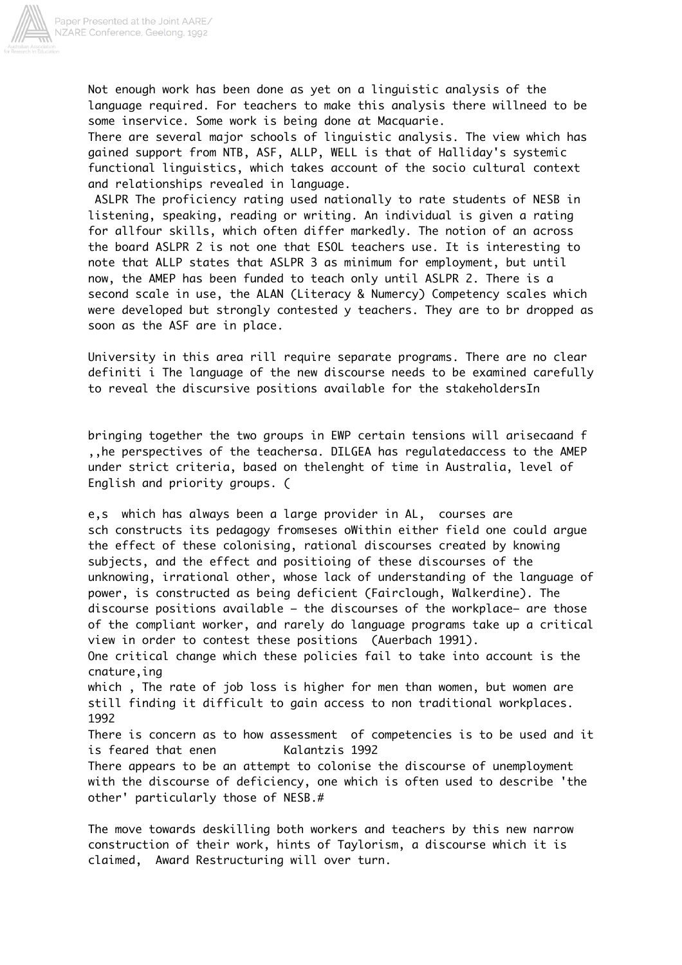

Not enough work has been done as yet on a linguistic analysis of the language required. For teachers to make this analysis there willneed to be some inservice. Some work is being done at Macquarie.

There are several major schools of linguistic analysis. The view which has gained support from NTB, ASF, ALLP, WELL is that of Halliday's systemic functional linguistics, which takes account of the socio cultural context and relationships revealed in language.

 ASLPR The proficiency rating used nationally to rate students of NESB in listening, speaking, reading or writing. An individual is given a rating for allfour skills, which often differ markedly. The notion of an across the board ASLPR 2 is not one that ESOL teachers use. It is interesting to note that ALLP states that ASLPR 3 as minimum for employment, but until now, the AMEP has been funded to teach only until ASLPR 2. There is a second scale in use, the ALAN (Literacy & Numercy) Competency scales which were developed but strongly contested y teachers. They are to br dropped as soon as the ASF are in place.

University in this area rill require separate programs. There are no clear definiti i The language of the new discourse needs to be examined carefully to reveal the discursive positions available for the stakeholdersIn

bringing together the two groups in EWP certain tensions will arisecaand f ,,he perspectives of the teachersa. DILGEA has regulatedaccess to the AMEP under strict criteria, based on thelenght of time in Australia, level of English and priority groups. (

e,s which has always been a large provider in AL, courses are sch constructs its pedagogy fromseses oWithin either field one could argue the effect of these colonising, rational discourses created by knowing subjects, and the effect and positioing of these discourses of the unknowing, irrational other, whose lack of understanding of the language of power, is constructed as being deficient (Fairclough, Walkerdine). The discourse positions available – the discourses of the workplace– are those of the compliant worker, and rarely do language programs take up a critical view in order to contest these positions (Auerbach 1991). One critical change which these policies fail to take into account is the cnature,ing which , The rate of job loss is higher for men than women, but women are still finding it difficult to gain access to non traditional workplaces. 1992 There is concern as to how assessment of competencies is to be used and it is feared that enen Kalantzis 1992 There appears to be an attempt to colonise the discourse of unemployment with the discourse of deficiency, one which is often used to describe 'the other' particularly those of NESB.#

The move towards deskilling both workers and teachers by this new narrow construction of their work, hints of Taylorism, a discourse which it is claimed, Award Restructuring will over turn.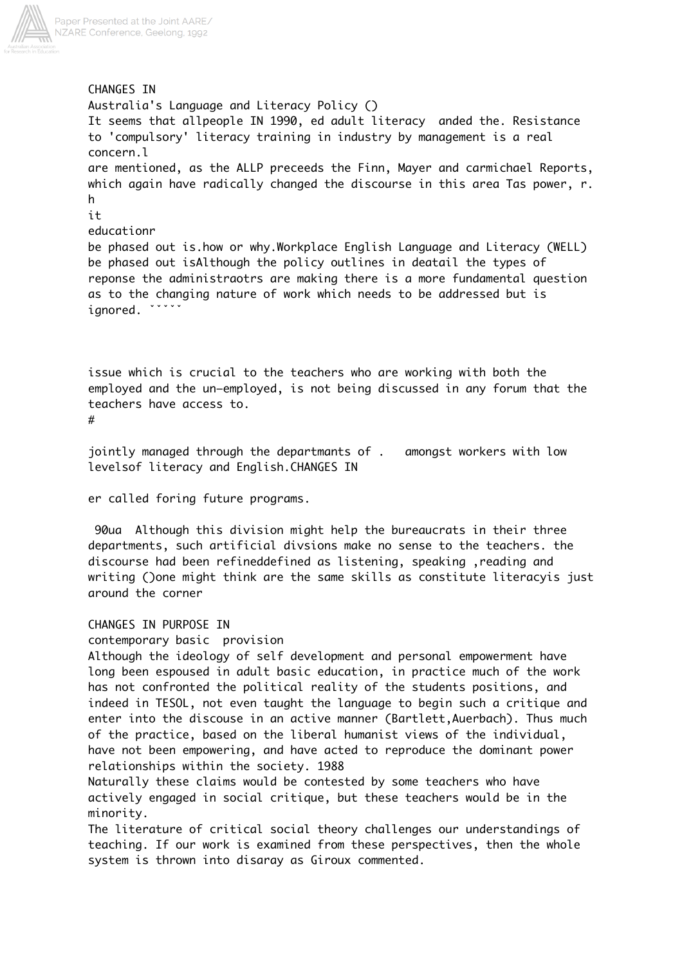

CHANGES IN Australia's Language and Literacy Policy () It seems that allpeople IN 1990, ed adult literacy anded the. Resistance to 'compulsory' literacy training in industry by management is a real concern.l are mentioned, as the ALLP preceeds the Finn, Mayer and carmichael Reports, which again have radically changed the discourse in this area Tas power, r. h it educationr be phased out is.how or why.Workplace English Language and Literacy (WELL) be phased out isAlthough the policy outlines in deatail the types of reponse the administraotrs are making there is a more fundamental question as to the changing nature of work which needs to be addressed but is ignored. ˇˇˇˇˇ

issue which is crucial to the teachers who are working with both the employed and the un–employed, is not being discussed in any forum that the teachers have access to.

#

jointly managed through the departmants of . amongst workers with low levelsof literacy and English.CHANGES IN

er called foring future programs.

 90ua Although this division might help the bureaucrats in their three departments, such artificial divsions make no sense to the teachers. the discourse had been refineddefined as listening, speaking ,reading and writing ()one might think are the same skills as constitute literacyis just around the corner

CHANGES IN PURPOSE IN

contemporary basic provision

Although the ideology of self development and personal empowerment have long been espoused in adult basic education, in practice much of the work has not confronted the political reality of the students positions, and indeed in TESOL, not even taught the language to begin such a critique and enter into the discouse in an active manner (Bartlett,Auerbach). Thus much of the practice, based on the liberal humanist views of the individual, have not been empowering, and have acted to reproduce the dominant power relationships within the society. 1988

Naturally these claims would be contested by some teachers who have actively engaged in social critique, but these teachers would be in the minority.

The literature of critical social theory challenges our understandings of teaching. If our work is examined from these perspectives, then the whole system is thrown into disaray as Giroux commented.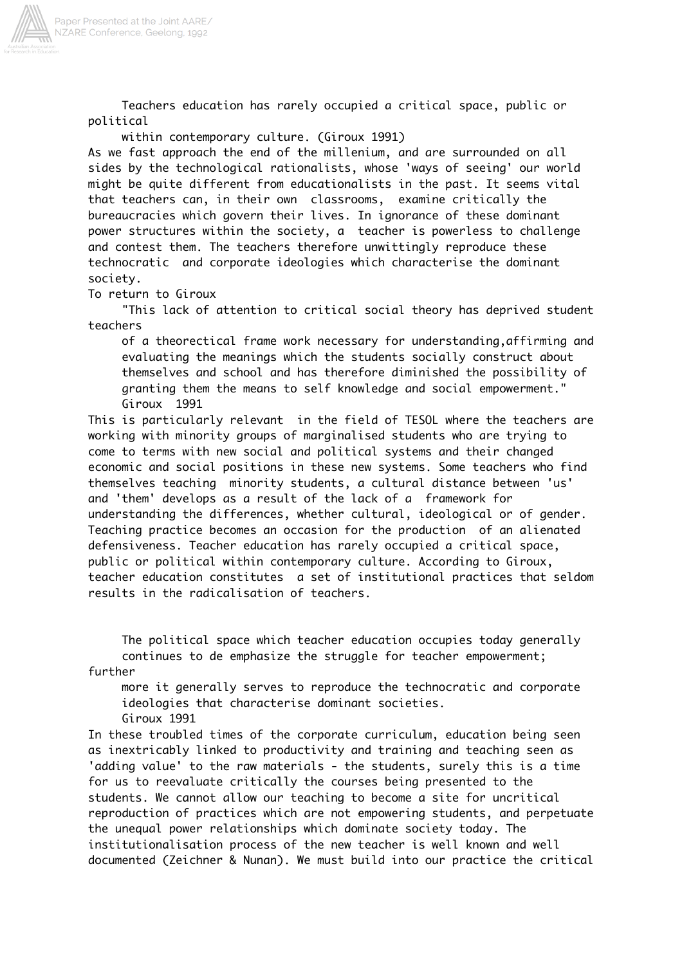

 Teachers education has rarely occupied a critical space, public or political

within contemporary culture. (Giroux 1991)

As we fast approach the end of the millenium, and are surrounded on all sides by the technological rationalists, whose 'ways of seeing' our world might be quite different from educationalists in the past. It seems vital that teachers can, in their own classrooms, examine critically the bureaucracies which govern their lives. In ignorance of these dominant power structures within the society, a teacher is powerless to challenge and contest them. The teachers therefore unwittingly reproduce these technocratic and corporate ideologies which characterise the dominant society.

To return to Giroux

 "This lack of attention to critical social theory has deprived student teachers

 of a theorectical frame work necessary for understanding,affirming and evaluating the meanings which the students socially construct about themselves and school and has therefore diminished the possibility of granting them the means to self knowledge and social empowerment." Giroux 1991

This is particularly relevant in the field of TESOL where the teachers are working with minority groups of marginalised students who are trying to come to terms with new social and political systems and their changed economic and social positions in these new systems. Some teachers who find themselves teaching minority students, a cultural distance between 'us' and 'them' develops as a result of the lack of a framework for understanding the differences, whether cultural, ideological or of gender. Teaching practice becomes an occasion for the production of an alienated defensiveness. Teacher education has rarely occupied a critical space, public or political within contemporary culture. According to Giroux, teacher education constitutes a set of institutional practices that seldom results in the radicalisation of teachers.

 The political space which teacher education occupies today generally continues to de emphasize the struggle for teacher empowerment;

further

 more it generally serves to reproduce the technocratic and corporate ideologies that characterise dominant societies. Giroux 1991

In these troubled times of the corporate curriculum, education being seen as inextricably linked to productivity and training and teaching seen as 'adding value' to the raw materials - the students, surely this is a time for us to reevaluate critically the courses being presented to the students. We cannot allow our teaching to become a site for uncritical reproduction of practices which are not empowering students, and perpetuate the unequal power relationships which dominate society today. The institutionalisation process of the new teacher is well known and well documented (Zeichner & Nunan). We must build into our practice the critical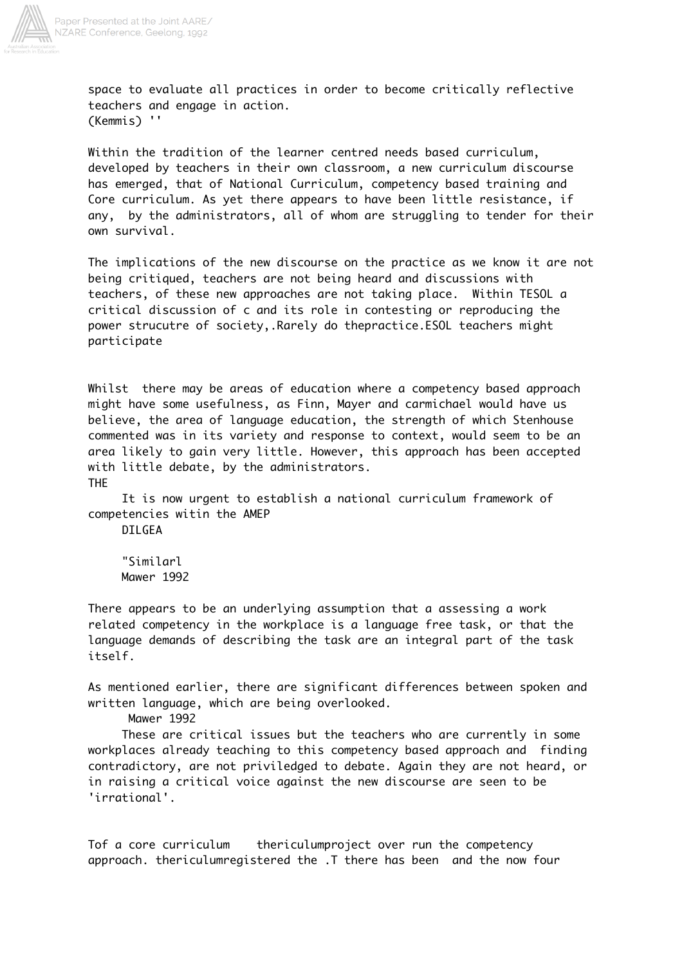

space to evaluate all practices in order to become critically reflective teachers and engage in action. (Kemmis) ''

Within the tradition of the learner centred needs based curriculum, developed by teachers in their own classroom, a new curriculum discourse has emerged, that of National Curriculum, competency based training and Core curriculum. As yet there appears to have been little resistance, if any, by the administrators, all of whom are struggling to tender for their own survival.

The implications of the new discourse on the practice as we know it are not being critiqued, teachers are not being heard and discussions with teachers, of these new approaches are not taking place. Within TESOL a critical discussion of c and its role in contesting or reproducing the power strucutre of society,.Rarely do thepractice.ESOL teachers might participate

Whilst there may be areas of education where a competency based approach might have some usefulness, as Finn, Mayer and carmichael would have us believe, the area of language education, the strength of which Stenhouse commented was in its variety and response to context, would seem to be an area likely to gain very little. However, this approach has been accepted with little debate, by the administrators. THE

 It is now urgent to establish a national curriculum framework of competencies witin the AMEP

DILGEA

 "Similarl Mawer 1992

There appears to be an underlying assumption that a assessing a work related competency in the workplace is a language free task, or that the language demands of describing the task are an integral part of the task itself.

As mentioned earlier, there are significant differences between spoken and written language, which are being overlooked.

Mawer 1992

 These are critical issues but the teachers who are currently in some workplaces already teaching to this competency based approach and finding contradictory, are not priviledged to debate. Again they are not heard, or in raising a critical voice against the new discourse are seen to be 'irrational'.

Tof a core curriculum thericulumproject over run the competency approach. thericulumregistered the .T there has been and the now four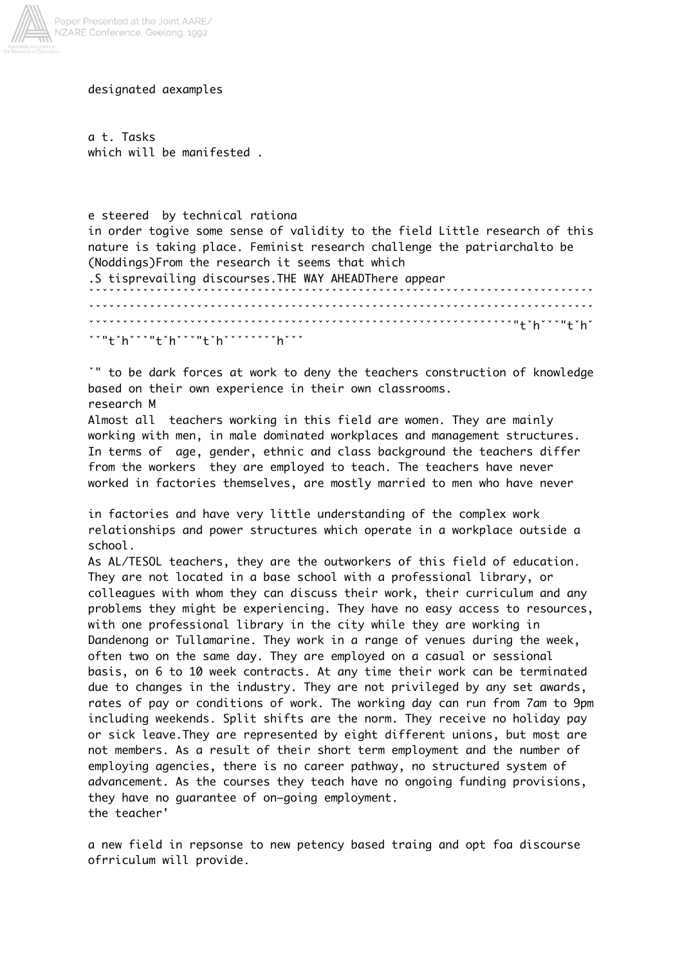

designated aexamples

a t. Tasks which will be manifested .

### e steered by technical rationa

in order togive some sense of validity to the field Little research of this nature is taking place. Feminist research challenge the patriarchalto be (Noddings)From the research it seems that which

.S tisprevailing discourses.THE WAY AHEADThere appear ˇˇˇˇˇˇˇˇˇˇˇˇˇˇˇˇˇˇˇˇˇˇˇˇˇˇˇˇˇˇˇˇˇˇˇˇˇˇˇˇˇˇˇˇˇˇˇˇˇˇˇˇˇˇˇˇˇˇˇˇˇˇˇˇˇˇˇˇˇˇˇˇˇˇˇ ˇˇˇˇˇˇˇˇˇˇˇˇˇˇˇˇˇˇˇˇˇˇˇˇˇˇˇˇˇˇˇˇˇˇˇˇˇˇˇˇˇˇˇˇˇˇˇˇˇˇˇˇˇˇˇˇˇˇˇˇˇˇˇˇˇˇˇˇˇˇˇˇˇˇˇ ˇˇˇˇˇˇˇˇˇˇˇˇˇˇˇˇˇˇˇˇˇˇˇˇˇˇˇˇˇˇˇˇˇˇˇˇˇˇˇˇˇˇˇˇˇˇˇˇˇˇˇˇˇˇˇˇˇˇˇˇˇˇˇ"tˇhˇˇˇ"tˇhˇ ˇˇ"tˇhˇˇˇ"tˇhˇˇˇ"tˇhˇˇˇˇˇˇˇˇhˇˇˇ

ˇ" to be dark forces at work to deny the teachers construction of knowledge based on their own experience in their own classrooms. research M

Almost all teachers working in this field are women. They are mainly working with men, in male dominated workplaces and management structures. In terms of age, gender, ethnic and class background the teachers differ from the workers they are employed to teach. The teachers have never worked in factories themselves, are mostly married to men who have never

in factories and have very little understanding of the complex work relationships and power structures which operate in a workplace outside a school.

As AL/TESOL teachers, they are the outworkers of this field of education. They are not located in a base school with a professional library, or colleagues with whom they can discuss their work, their curriculum and any problems they might be experiencing. They have no easy access to resources, with one professional library in the city while they are working in Dandenong or Tullamarine. They work in a range of venues during the week, often two on the same day. They are employed on a casual or sessional basis, on 6 to 10 week contracts. At any time their work can be terminated due to changes in the industry. They are not privileged by any set awards, rates of pay or conditions of work. The working day can run from 7am to 9pm including weekends. Split shifts are the norm. They receive no holiday pay or sick leave.They are represented by eight different unions, but most are not members. As a result of their short term employment and the number of employing agencies, there is no career pathway, no structured system of advancement. As the courses they teach have no ongoing funding provisions, they have no guarantee of on–going employment. the teacher'

a new field in repsonse to new petency based traing and opt foa discourse ofrriculum will provide.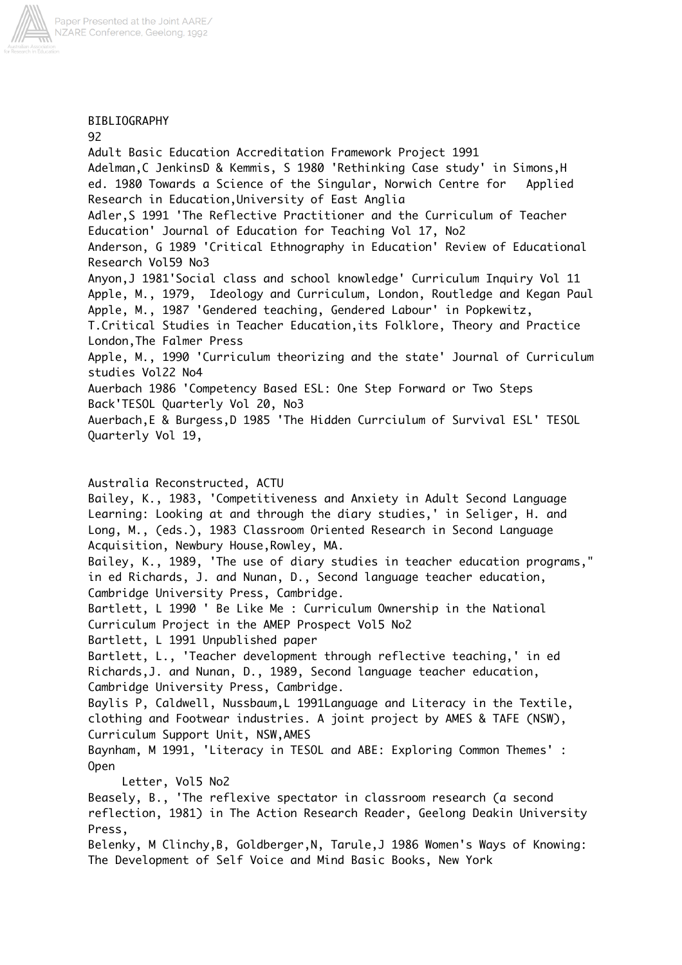

# BIBLIOGRAPHY

92 Adult Basic Education Accreditation Framework Project 1991 Adelman,C JenkinsD & Kemmis, S 1980 'Rethinking Case study' in Simons,H ed. 1980 Towards a Science of the Singular, Norwich Centre for Applied Research in Education,University of East Anglia Adler,S 1991 'The Reflective Practitioner and the Curriculum of Teacher Education' Journal of Education for Teaching Vol 17, No2 Anderson, G 1989 'Critical Ethnography in Education' Review of Educational Research Vol59 No3 Anyon,J 1981'Social class and school knowledge' Curriculum Inquiry Vol 11 Apple, M., 1979, Ideology and Curriculum, London, Routledge and Kegan Paul Apple, M., 1987 'Gendered teaching, Gendered Labour' in Popkewitz, T.Critical Studies in Teacher Education,its Folklore, Theory and Practice London,The Falmer Press Apple, M., 1990 'Curriculum theorizing and the state' Journal of Curriculum studies Vol22 No4 Auerbach 1986 'Competency Based ESL: One Step Forward or Two Steps Back'TESOL Quarterly Vol 20, No3 Auerbach,E & Burgess,D 1985 'The Hidden Currciulum of Survival ESL' TESOL Quarterly Vol 19,

# Australia Reconstructed, ACTU

Bailey, K., 1983, 'Competitiveness and Anxiety in Adult Second Language Learning: Looking at and through the diary studies,' in Seliger, H. and Long, M., (eds.), 1983 Classroom Oriented Research in Second Language Acquisition, Newbury House,Rowley, MA. Bailey, K., 1989, 'The use of diary studies in teacher education programs,"

in ed Richards, J. and Nunan, D., Second language teacher education, Cambridge University Press, Cambridge.

Bartlett, L 1990 ' Be Like Me : Curriculum Ownership in the National Curriculum Project in the AMEP Prospect Vol5 No2

Bartlett, L 1991 Unpublished paper

Bartlett, L., 'Teacher development through reflective teaching,' in ed Richards,J. and Nunan, D., 1989, Second language teacher education, Cambridge University Press, Cambridge.

Baylis P, Caldwell, Nussbaum,L 1991Language and Literacy in the Textile, clothing and Footwear industries. A joint project by AMES & TAFE (NSW), Curriculum Support Unit, NSW,AMES

Baynham, M 1991, 'Literacy in TESOL and ABE: Exploring Common Themes' : Open

Letter, Vol5 No2

Beasely, B., 'The reflexive spectator in classroom research (a second reflection, 1981) in The Action Research Reader, Geelong Deakin University Press,

Belenky, M Clinchy,B, Goldberger,N, Tarule,J 1986 Women's Ways of Knowing: The Development of Self Voice and Mind Basic Books, New York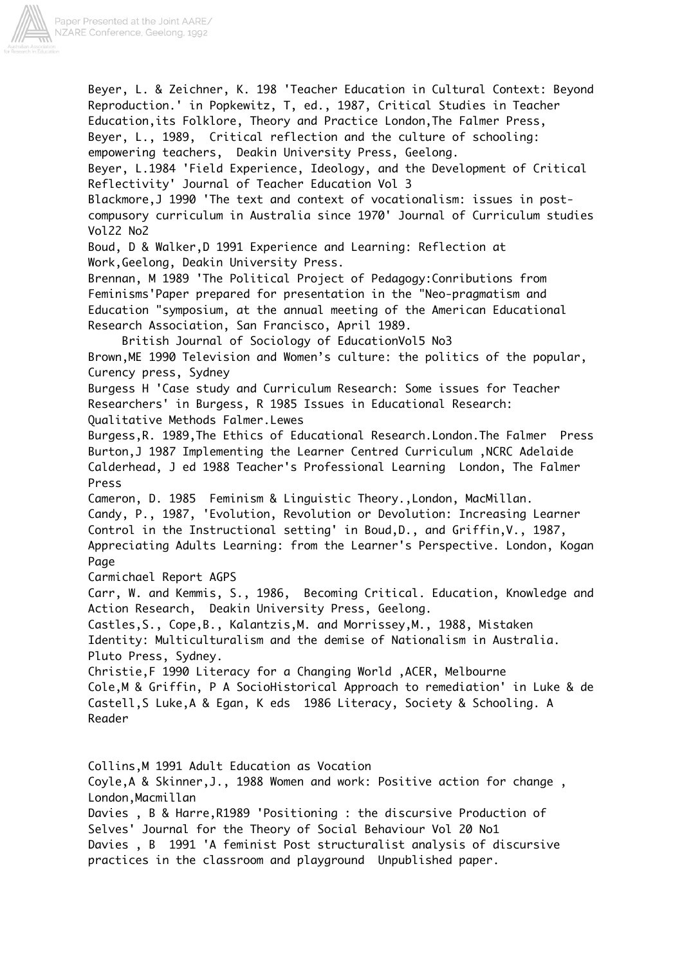

Beyer, L. & Zeichner, K. 198 'Teacher Education in Cultural Context: Beyond Reproduction.' in Popkewitz, T, ed., 1987, Critical Studies in Teacher Education,its Folklore, Theory and Practice London,The Falmer Press, Beyer, L., 1989, Critical reflection and the culture of schooling: empowering teachers, Deakin University Press, Geelong. Beyer, L.1984 'Field Experience, Ideology, and the Development of Critical Reflectivity' Journal of Teacher Education Vol 3 Blackmore,J 1990 'The text and context of vocationalism: issues in postcompusory curriculum in Australia since 1970' Journal of Curriculum studies Vol22 No2 Boud, D & Walker,D 1991 Experience and Learning: Reflection at Work,Geelong, Deakin University Press. Brennan, M 1989 'The Political Project of Pedagogy:Conributions from Feminisms'Paper prepared for presentation in the "Neo-pragmatism and Education "symposium, at the annual meeting of the American Educational Research Association, San Francisco, April 1989. British Journal of Sociology of EducationVol5 No3 Brown,ME 1990 Television and Women's culture: the politics of the popular, Curency press, Sydney Burgess H 'Case study and Curriculum Research: Some issues for Teacher Researchers' in Burgess, R 1985 Issues in Educational Research: Qualitative Methods Falmer.Lewes Burgess,R. 1989,The Ethics of Educational Research.London.The Falmer Press Burton,J 1987 Implementing the Learner Centred Curriculum ,NCRC Adelaide Calderhead, J ed 1988 Teacher's Professional Learning London, The Falmer Press Cameron, D. 1985 Feminism & Linguistic Theory.,London, MacMillan. Candy, P., 1987, 'Evolution, Revolution or Devolution: Increasing Learner Control in the Instructional setting' in Boud,D., and Griffin,V., 1987, Appreciating Adults Learning: from the Learner's Perspective. London, Kogan Page Carmichael Report AGPS Carr, W. and Kemmis, S., 1986, Becoming Critical. Education, Knowledge and Action Research, Deakin University Press, Geelong. Castles,S., Cope,B., Kalantzis,M. and Morrissey,M., 1988, Mistaken Identity: Multiculturalism and the demise of Nationalism in Australia. Pluto Press, Sydney. Christie,F 1990 Literacy for a Changing World ,ACER, Melbourne Cole,M & Griffin, P A SocioHistorical Approach to remediation' in Luke & de Castell,S Luke,A & Egan, K eds 1986 Literacy, Society & Schooling. A Reader Collins,M 1991 Adult Education as Vocation Coyle,A & Skinner,J., 1988 Women and work: Positive action for change , London,Macmillan

Davies , B & Harre,R1989 'Positioning : the discursive Production of Selves' Journal for the Theory of Social Behaviour Vol 20 No1 Davies , B 1991 'A feminist Post structuralist analysis of discursive practices in the classroom and playground Unpublished paper.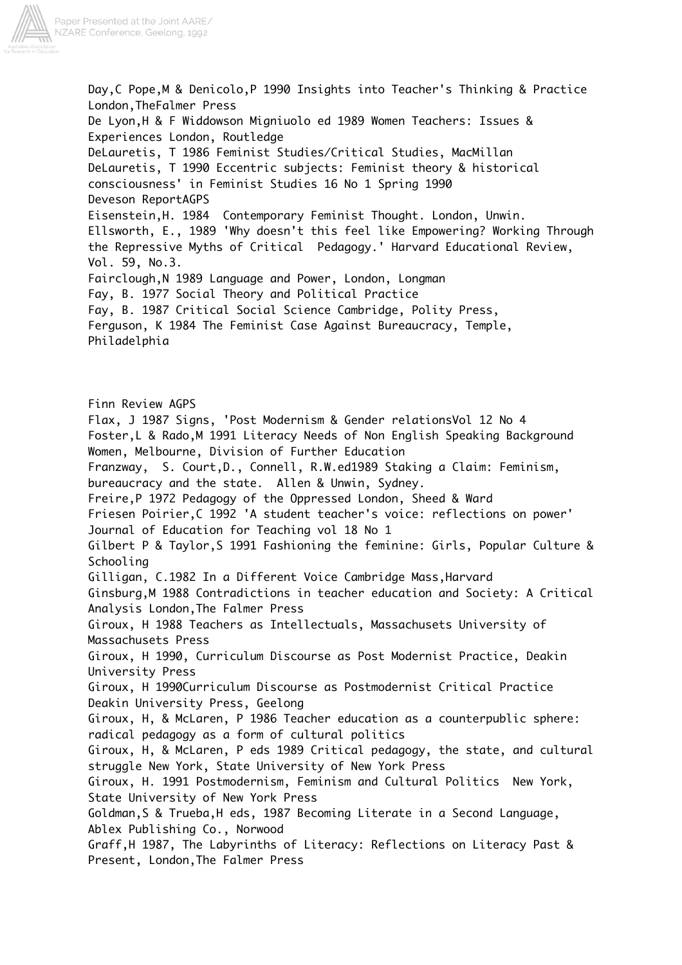

Day,C Pope,M & Denicolo,P 1990 Insights into Teacher's Thinking & Practice London,TheFalmer Press De Lyon,H & F Widdowson Migniuolo ed 1989 Women Teachers: Issues & Experiences London, Routledge DeLauretis, T 1986 Feminist Studies/Critical Studies, MacMillan DeLauretis, T 1990 Eccentric subjects: Feminist theory & historical consciousness' in Feminist Studies 16 No 1 Spring 1990 Deveson ReportAGPS Eisenstein,H. 1984 Contemporary Feminist Thought. London, Unwin. Ellsworth, E., 1989 'Why doesn't this feel like Empowering? Working Through the Repressive Myths of Critical Pedagogy.' Harvard Educational Review, Vol. 59, No.3. Fairclough,N 1989 Language and Power, London, Longman Fay, B. 1977 Social Theory and Political Practice Fay, B. 1987 Critical Social Science Cambridge, Polity Press, Ferguson, K 1984 The Feminist Case Against Bureaucracy, Temple, Philadelphia Finn Review AGPS Flax, J 1987 Signs, 'Post Modernism & Gender relationsVol 12 No 4 Foster,L & Rado,M 1991 Literacy Needs of Non English Speaking Background Women, Melbourne, Division of Further Education Franzway, S. Court,D., Connell, R.W.ed1989 Staking a Claim: Feminism, bureaucracy and the state. Allen & Unwin, Sydney. Freire,P 1972 Pedagogy of the Oppressed London, Sheed & Ward Friesen Poirier,C 1992 'A student teacher's voice: reflections on power' Journal of Education for Teaching vol 18 No 1 Gilbert P & Taylor,S 1991 Fashioning the feminine: Girls, Popular Culture & Schooling Gilligan, C.1982 In a Different Voice Cambridge Mass,Harvard Ginsburg,M 1988 Contradictions in teacher education and Society: A Critical Analysis London,The Falmer Press Giroux, H 1988 Teachers as Intellectuals, Massachusets University of Massachusets Press Giroux, H 1990, Curriculum Discourse as Post Modernist Practice, Deakin University Press Giroux, H 1990Curriculum Discourse as Postmodernist Critical Practice Deakin University Press, Geelong Giroux, H, & McLaren, P 1986 Teacher education as a counterpublic sphere: radical pedagogy as a form of cultural politics Giroux, H, & McLaren, P eds 1989 Critical pedagogy, the state, and cultural struggle New York, State University of New York Press Giroux, H. 1991 Postmodernism, Feminism and Cultural Politics New York, State University of New York Press Goldman,S & Trueba,H eds, 1987 Becoming Literate in a Second Language, Ablex Publishing Co., Norwood Graff,H 1987, The Labyrinths of Literacy: Reflections on Literacy Past & Present, London,The Falmer Press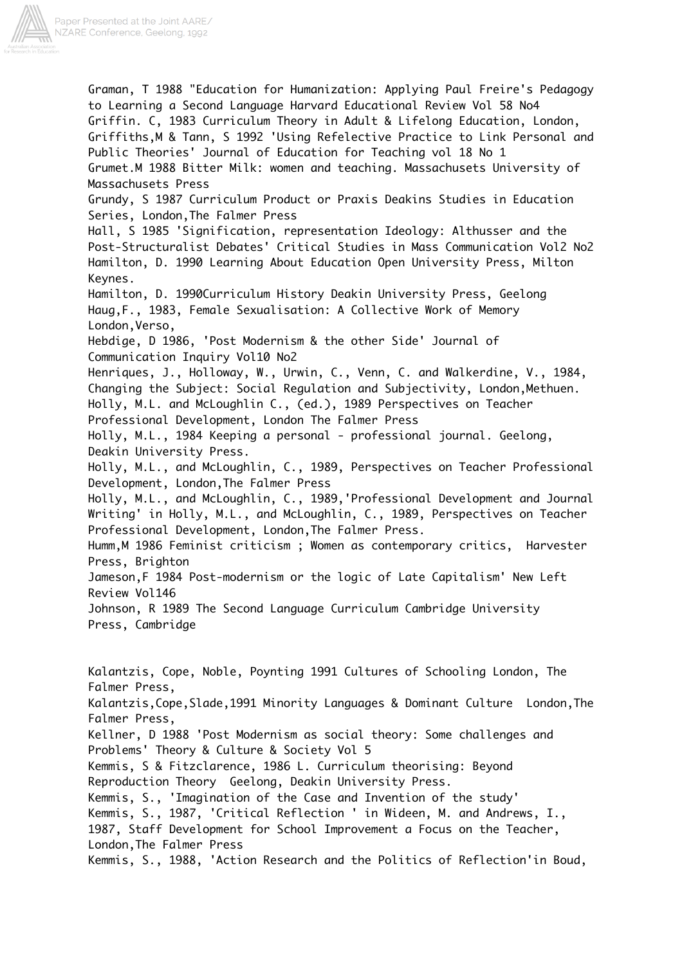

Graman, T 1988 "Education for Humanization: Applying Paul Freire's Pedagogy to Learning a Second Language Harvard Educational Review Vol 58 No4 Griffin. C, 1983 Curriculum Theory in Adult & Lifelong Education, London, Griffiths,M & Tann, S 1992 'Using Refelective Practice to Link Personal and Public Theories' Journal of Education for Teaching vol 18 No 1 Grumet.M 1988 Bitter Milk: women and teaching. Massachusets University of Massachusets Press Grundy, S 1987 Curriculum Product or Praxis Deakins Studies in Education Series, London,The Falmer Press Hall, S 1985 'Signification, representation Ideology: Althusser and the Post-Structuralist Debates' Critical Studies in Mass Communication Vol2 No2 Hamilton, D. 1990 Learning About Education Open University Press, Milton Keynes. Hamilton, D. 1990Curriculum History Deakin University Press, Geelong Haug,F., 1983, Female Sexualisation: A Collective Work of Memory London,Verso, Hebdige, D 1986, 'Post Modernism & the other Side' Journal of Communication Inquiry Vol10 No2 Henriques, J., Holloway, W., Urwin, C., Venn, C. and Walkerdine, V., 1984, Changing the Subject: Social Regulation and Subjectivity, London,Methuen. Holly, M.L. and McLoughlin C., (ed.), 1989 Perspectives on Teacher Professional Development, London The Falmer Press Holly, M.L., 1984 Keeping a personal - professional journal. Geelong, Deakin University Press. Holly, M.L., and McLoughlin, C., 1989, Perspectives on Teacher Professional Development, London,The Falmer Press Holly, M.L., and McLoughlin, C., 1989,'Professional Development and Journal Writing' in Holly, M.L., and McLoughlin, C., 1989, Perspectives on Teacher Professional Development, London,The Falmer Press. Humm,M 1986 Feminist criticism ; Women as contemporary critics, Harvester Press, Brighton Jameson,F 1984 Post-modernism or the logic of Late Capitalism' New Left Review Vol146 Johnson, R 1989 The Second Language Curriculum Cambridge University Press, Cambridge Kalantzis, Cope, Noble, Poynting 1991 Cultures of Schooling London, The Falmer Press, Kalantzis,Cope,Slade,1991 Minority Languages & Dominant Culture London,The Falmer Press, Kellner, D 1988 'Post Modernism as social theory: Some challenges and Problems' Theory & Culture & Society Vol 5 Kemmis, S & Fitzclarence, 1986 L. Curriculum theorising: Beyond Reproduction Theory Geelong, Deakin University Press. Kemmis, S., 'Imagination of the Case and Invention of the study' Kemmis, S., 1987, 'Critical Reflection ' in Wideen, M. and Andrews, I., 1987, Staff Development for School Improvement a Focus on the Teacher,

London,The Falmer Press

Kemmis, S., 1988, 'Action Research and the Politics of Reflection'in Boud,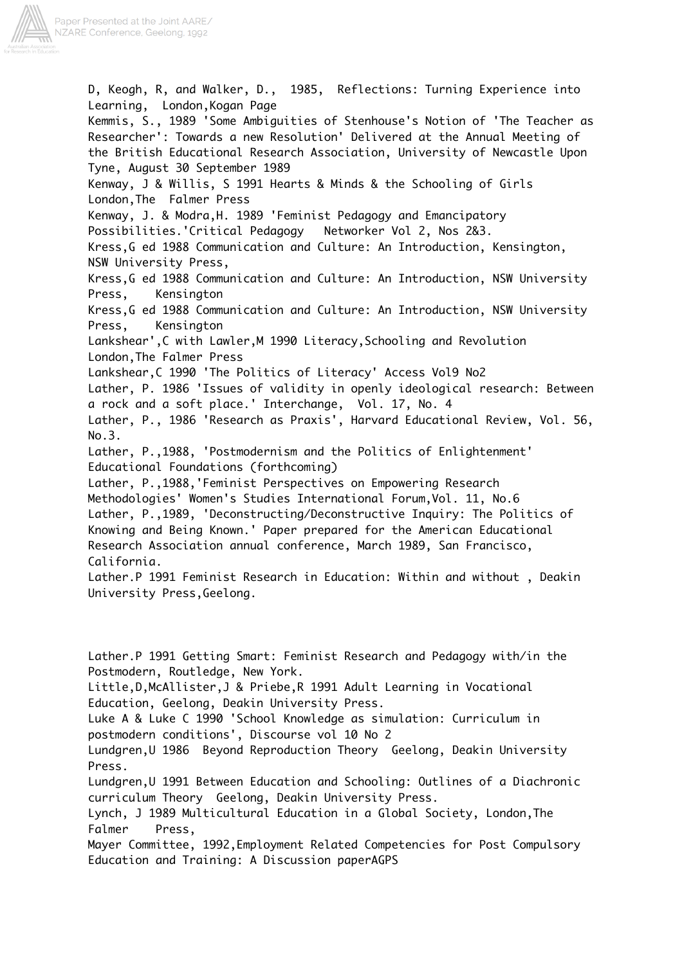

D, Keogh, R, and Walker, D., 1985, Reflections: Turning Experience into Learning, London,Kogan Page Kemmis, S., 1989 'Some Ambiguities of Stenhouse's Notion of 'The Teacher as Researcher': Towards a new Resolution' Delivered at the Annual Meeting of the British Educational Research Association, University of Newcastle Upon Tyne, August 30 September 1989 Kenway, J & Willis, S 1991 Hearts & Minds & the Schooling of Girls London,The Falmer Press Kenway, J. & Modra,H. 1989 'Feminist Pedagogy and Emancipatory Possibilities.'Critical Pedagogy Networker Vol 2, Nos 2&3. Kress,G ed 1988 Communication and Culture: An Introduction, Kensington, NSW University Press, Kress,G ed 1988 Communication and Culture: An Introduction, NSW University Press, Kensington Kress,G ed 1988 Communication and Culture: An Introduction, NSW University Press, Kensington Lankshear',C with Lawler,M 1990 Literacy,Schooling and Revolution London,The Falmer Press Lankshear,C 1990 'The Politics of Literacy' Access Vol9 No2 Lather, P. 1986 'Issues of validity in openly ideological research: Between a rock and a soft place.' Interchange, Vol. 17, No. 4 Lather, P., 1986 'Research as Praxis', Harvard Educational Review, Vol. 56, No.3. Lather, P.,1988, 'Postmodernism and the Politics of Enlightenment' Educational Foundations (forthcoming) Lather, P.,1988,'Feminist Perspectives on Empowering Research Methodologies' Women's Studies International Forum,Vol. 11, No.6 Lather, P.,1989, 'Deconstructing/Deconstructive Inquiry: The Politics of Knowing and Being Known.' Paper prepared for the American Educational Research Association annual conference, March 1989, San Francisco, California. Lather.P 1991 Feminist Research in Education: Within and without , Deakin University Press,Geelong.

Lather.P 1991 Getting Smart: Feminist Research and Pedagogy with/in the Postmodern, Routledge, New York. Little,D,McAllister,J & Priebe,R 1991 Adult Learning in Vocational Education, Geelong, Deakin University Press. Luke A & Luke C 1990 'School Knowledge as simulation: Curriculum in postmodern conditions', Discourse vol 10 No 2 Lundgren,U 1986 Beyond Reproduction Theory Geelong, Deakin University Press. Lundgren,U 1991 Between Education and Schooling: Outlines of a Diachronic curriculum Theory Geelong, Deakin University Press. Lynch, J 1989 Multicultural Education in a Global Society, London,The Falmer Press, Mayer Committee, 1992,Employment Related Competencies for Post Compulsory Education and Training: A Discussion paperAGPS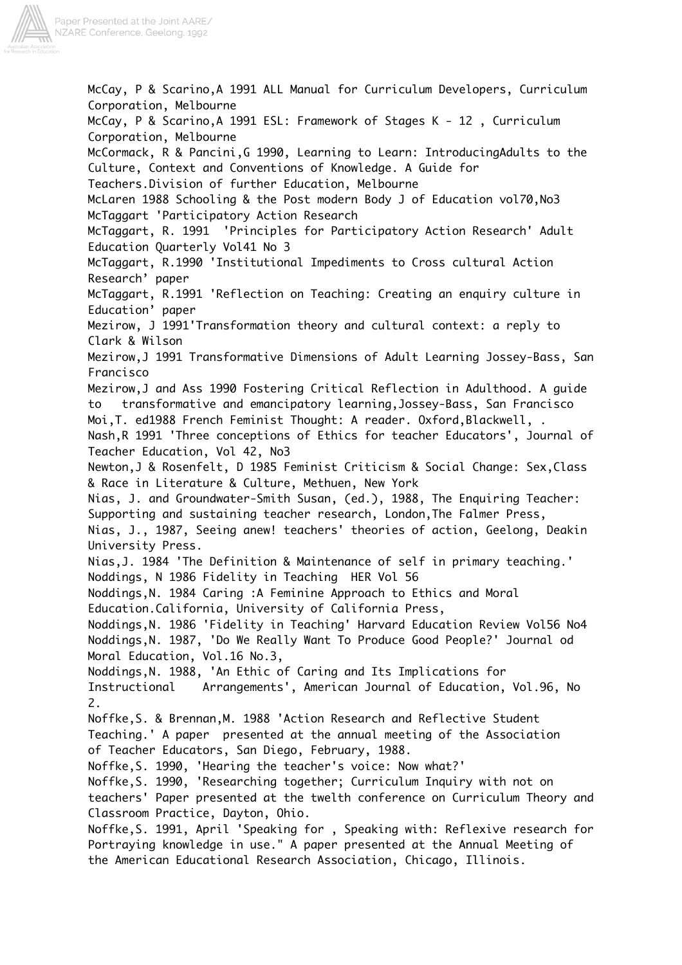

McCay, P & Scarino,A 1991 ALL Manual for Curriculum Developers, Curriculum Corporation, Melbourne McCay, P & Scarino,A 1991 ESL: Framework of Stages K - 12 , Curriculum Corporation, Melbourne McCormack, R & Pancini,G 1990, Learning to Learn: IntroducingAdults to the Culture, Context and Conventions of Knowledge. A Guide for Teachers.Division of further Education, Melbourne McLaren 1988 Schooling & the Post modern Body J of Education vol70,No3 McTaggart 'Participatory Action Research McTaggart, R. 1991 'Principles for Participatory Action Research' Adult Education Quarterly Vol41 No 3 McTaggart, R.1990 'Institutional Impediments to Cross cultural Action Research' paper McTaggart, R.1991 'Reflection on Teaching: Creating an enquiry culture in Education' paper Mezirow, J 1991'Transformation theory and cultural context: a reply to Clark & Wilson Mezirow,J 1991 Transformative Dimensions of Adult Learning Jossey-Bass, San Francisco Mezirow,J and Ass 1990 Fostering Critical Reflection in Adulthood. A guide to transformative and emancipatory learning,Jossey-Bass, San Francisco Moi,T. ed1988 French Feminist Thought: A reader. Oxford,Blackwell, . Nash,R 1991 'Three conceptions of Ethics for teacher Educators', Journal of Teacher Education, Vol 42, No3 Newton,J & Rosenfelt, D 1985 Feminist Criticism & Social Change: Sex,Class & Race in Literature & Culture, Methuen, New York Nias, J. and Groundwater-Smith Susan, (ed.), 1988, The Enquiring Teacher: Supporting and sustaining teacher research, London,The Falmer Press, Nias, J., 1987, Seeing anew! teachers' theories of action, Geelong, Deakin University Press. Nias,J. 1984 'The Definition & Maintenance of self in primary teaching.' Noddings, N 1986 Fidelity in Teaching HER Vol 56 Noddings,N. 1984 Caring :A Feminine Approach to Ethics and Moral Education.California, University of California Press, Noddings,N. 1986 'Fidelity in Teaching' Harvard Education Review Vol56 No4 Noddings,N. 1987, 'Do We Really Want To Produce Good People?' Journal od Moral Education, Vol.16 No.3, Noddings,N. 1988, 'An Ethic of Caring and Its Implications for Instructional Arrangements', American Journal of Education, Vol.96, No 2. Noffke,S. & Brennan,M. 1988 'Action Research and Reflective Student Teaching.' A paper presented at the annual meeting of the Association of Teacher Educators, San Diego, February, 1988. Noffke,S. 1990, 'Hearing the teacher's voice: Now what?' Noffke,S. 1990, 'Researching together; Curriculum Inquiry with not on teachers' Paper presented at the twelth conference on Curriculum Theory and Classroom Practice, Dayton, Ohio. Noffke,S. 1991, April 'Speaking for , Speaking with: Reflexive research for Portraying knowledge in use." A paper presented at the Annual Meeting of the American Educational Research Association, Chicago, Illinois.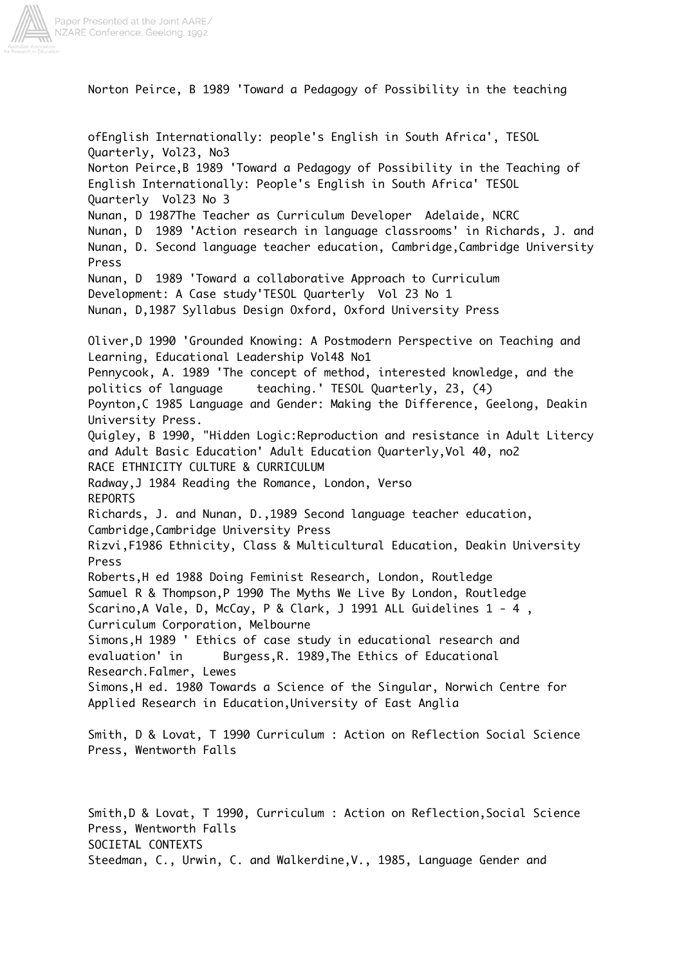

Norton Peirce, B 1989 'Toward a Pedagogy of Possibility in the teaching

ofEnglish Internationally: people's English in South Africa', TESOL Quarterly, Vol23, No3 Norton Peirce,B 1989 'Toward a Pedagogy of Possibility in the Teaching of English Internationally: People's English in South Africa' TESOL Quarterly Vol23 No 3 Nunan, D 1987The Teacher as Curriculum Developer Adelaide, NCRC Nunan, D 1989 'Action research in language classrooms' in Richards, J. and Nunan, D. Second language teacher education, Cambridge,Cambridge University Press Nunan, D 1989 'Toward a collaborative Approach to Curriculum Development: A Case study'TESOL Quarterly Vol 23 No 1 Nunan, D,1987 Syllabus Design Oxford, Oxford University Press Oliver,D 1990 'Grounded Knowing: A Postmodern Perspective on Teaching and Learning, Educational Leadership Vol48 No1 Pennycook, A. 1989 'The concept of method, interested knowledge, and the politics of language teaching.' TESOL Quarterly, 23, (4) Poynton,C 1985 Language and Gender: Making the Difference, Geelong, Deakin University Press. Quigley, B 1990, "Hidden Logic:Reproduction and resistance in Adult Litercy and Adult Basic Education' Adult Education Quarterly,Vol 40, no2 RACE ETHNICITY CULTURE & CURRICULUM Radway,J 1984 Reading the Romance, London, Verso REPORTS Richards, J. and Nunan, D.,1989 Second language teacher education, Cambridge,Cambridge University Press Rizvi,F1986 Ethnicity, Class & Multicultural Education, Deakin University Press Roberts,H ed 1988 Doing Feminist Research, London, Routledge Samuel R & Thompson,P 1990 The Myths We Live By London, Routledge Scarino,A Vale, D, McCay, P & Clark, J 1991 ALL Guidelines 1 - 4 , Curriculum Corporation, Melbourne Simons,H 1989 ' Ethics of case study in educational research and evaluation' in Burgess,R. 1989,The Ethics of Educational Research.Falmer, Lewes Simons,H ed. 1980 Towards a Science of the Singular, Norwich Centre for Applied Research in Education,University of East Anglia Smith, D & Lovat, T 1990 Curriculum : Action on Reflection Social Science Press, Wentworth Falls Smith,D & Lovat, T 1990, Curriculum : Action on Reflection,Social Science

Press, Wentworth Falls

SOCIETAL CONTEXTS

Steedman, C., Urwin, C. and Walkerdine,V., 1985, Language Gender and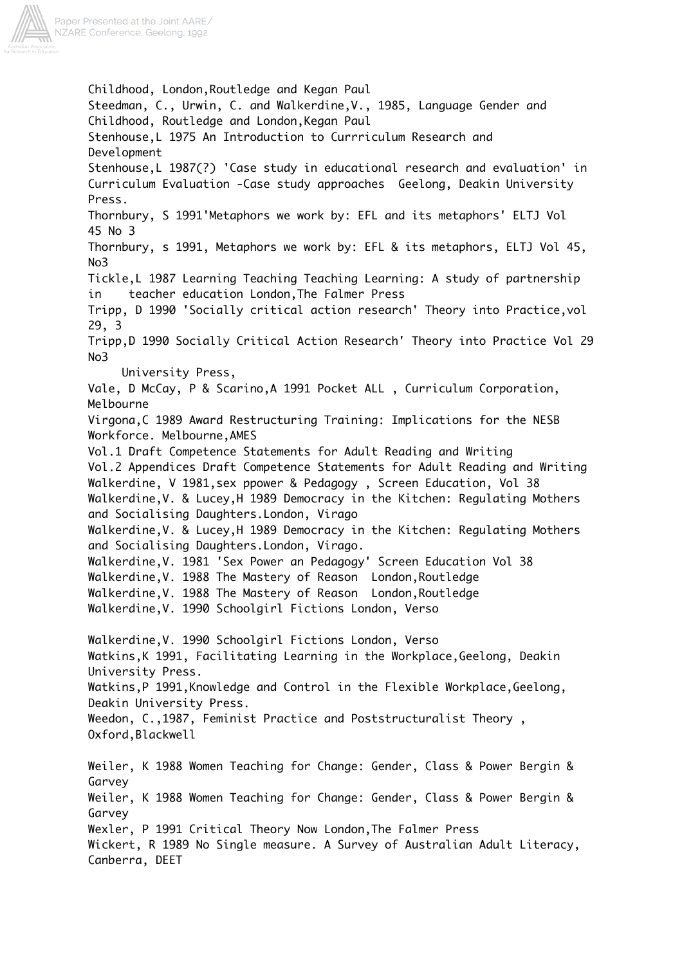

Childhood, London,Routledge and Kegan Paul Steedman, C., Urwin, C. and Walkerdine,V., 1985, Language Gender and Childhood, Routledge and London,Kegan Paul Stenhouse,L 1975 An Introduction to Currriculum Research and Development Stenhouse,L 1987(?) 'Case study in educational research and evaluation' in Curriculum Evaluation -Case study approaches Geelong, Deakin University Press. Thornbury, S 1991'Metaphors we work by: EFL and its metaphors' ELTJ Vol 45 No 3 Thornbury, s 1991, Metaphors we work by: EFL & its metaphors, ELTJ Vol 45, No3 Tickle,L 1987 Learning Teaching Teaching Learning: A study of partnership in teacher education London,The Falmer Press Tripp, D 1990 'Socially critical action research' Theory into Practice,vol 29, 3 Tripp,D 1990 Socially Critical Action Research' Theory into Practice Vol 29 No3 University Press, Vale, D McCay, P & Scarino,A 1991 Pocket ALL , Curriculum Corporation, Melbourne Virgona,C 1989 Award Restructuring Training: Implications for the NESB Workforce. Melbourne,AMES Vol.1 Draft Competence Statements for Adult Reading and Writing Vol.2 Appendices Draft Competence Statements for Adult Reading and Writing Walkerdine, V 1981,sex ppower & Pedagogy , Screen Education, Vol 38 Walkerdine,V. & Lucey,H 1989 Democracy in the Kitchen: Regulating Mothers and Socialising Daughters.London, Virago Walkerdine,V. & Lucey,H 1989 Democracy in the Kitchen: Regulating Mothers and Socialising Daughters.London, Virago. Walkerdine,V. 1981 'Sex Power an Pedagogy' Screen Education Vol 38 Walkerdine,V. 1988 The Mastery of Reason London,Routledge Walkerdine,V. 1988 The Mastery of Reason London,Routledge Walkerdine,V. 1990 Schoolgirl Fictions London, Verso Walkerdine,V. 1990 Schoolgirl Fictions London, Verso Watkins,K 1991, Facilitating Learning in the Workplace,Geelong, Deakin University Press. Watkins,P 1991,Knowledge and Control in the Flexible Workplace,Geelong, Deakin University Press. Weedon, C.,1987, Feminist Practice and Poststructuralist Theory , Oxford,Blackwell Weiler, K 1988 Women Teaching for Change: Gender, Class & Power Bergin & Garvey Weiler, K 1988 Women Teaching for Change: Gender, Class & Power Bergin & Garvey Wexler, P 1991 Critical Theory Now London,The Falmer Press Wickert, R 1989 No Single measure. A Survey of Australian Adult Literacy, Canberra, DEET